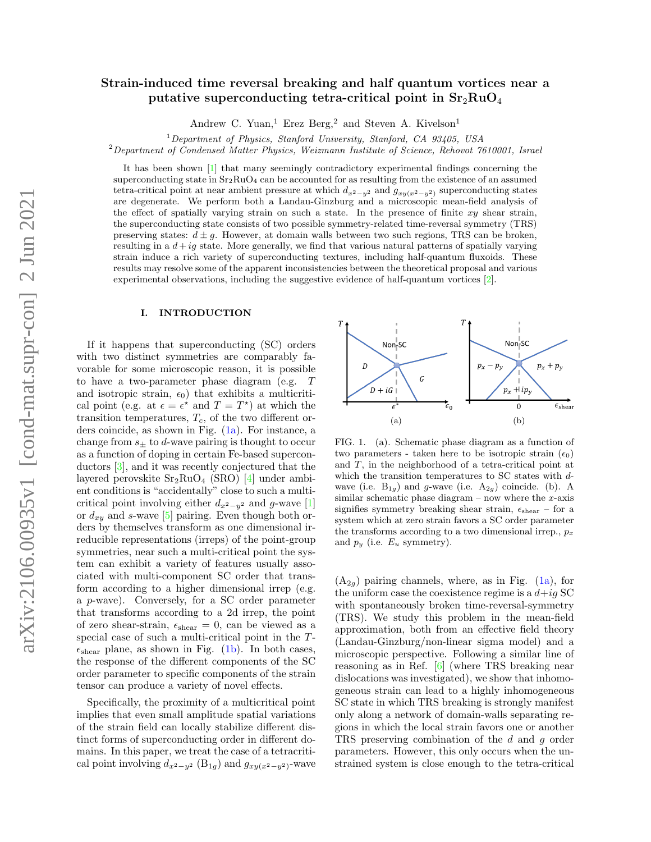# Strain-induced time reversal breaking and half quantum vortices near a putative superconducting tetra-critical point in  $Sr<sub>2</sub>RuO<sub>4</sub>$

Andrew C. Yuan,<sup>1</sup> Erez Berg,<sup>2</sup> and Steven A. Kivelson<sup>1</sup>

 $1$ Department of Physics, Stanford University, Stanford, CA 93405, USA

 $2$ Department of Condensed Matter Physics, Weizmann Institute of Science, Rehovot 7610001, Israel

It has been shown [\[1\]](#page-9-0) that many seemingly contradictory experimental findings concerning the superconducting state in  $Sr_2RuO_4$  can be accounted for as resulting from the existence of an assumed tetra-critical point at near ambient pressure at which  $d_{x^2-y^2}$  and  $g_{xy(x^2-y^2)}$  superconducting states are degenerate. We perform both a Landau-Ginzburg and a microscopic mean-field analysis of the effect of spatially varying strain on such a state. In the presence of finite  $xy$  shear strain, the superconducting state consists of two possible symmetry-related time-reversal symmetry (TRS) preserving states:  $d \pm g$ . However, at domain walls between two such regions, TRS can be broken, resulting in a  $d + ig$  state. More generally, we find that various natural patterns of spatially varying strain induce a rich variety of superconducting textures, including half-quantum fluxoids. These results may resolve some of the apparent inconsistencies between the theoretical proposal and various experimental observations, including the suggestive evidence of half-quantum vortices [\[2\]](#page-9-1).

# I. INTRODUCTION

If it happens that superconducting (SC) orders with two distinct symmetries are comparably favorable for some microscopic reason, it is possible to have a two-parameter phase diagram (e.g. T and isotropic strain,  $\epsilon_0$ ) that exhibits a multicritical point (e.g. at  $\epsilon = \epsilon^*$  and  $T = T^*$ ) at which the transition temperatures,  $T_c$ , of the two different orders coincide, as shown in Fig. [\(1a\)](#page-0-0). For instance, a change from  $s_{\pm}$  to d-wave pairing is thought to occur as a function of doping in certain Fe-based superconductors [\[3\]](#page-10-0), and it was recently conjectured that the layered perovskite  $Sr_2RuO_4$  (SRO) [\[4\]](#page-10-1) under ambient conditions is "accidentally" close to such a multicritical point involving either  $d_{x^2-y^2}$  and g-wave [\[1\]](#page-9-0) or  $d_{xy}$  and s-wave [\[5\]](#page-10-2) pairing. Even though both orders by themselves transform as one dimensional irreducible representations (irreps) of the point-group symmetries, near such a multi-critical point the system can exhibit a variety of features usually associated with multi-component SC order that transform according to a higher dimensional irrep (e.g. a p-wave). Conversely, for a SC order parameter that transforms according to a 2d irrep, the point of zero shear-strain,  $\epsilon_{\text{shear}} = 0$ , can be viewed as a special case of such a multi-critical point in the T-  $\epsilon_{\text{shear}}$  plane, as shown in Fig. [\(1b\)](#page-0-1). In both cases, the response of the different components of the SC order parameter to specific components of the strain tensor can produce a variety of novel effects.

Specifically, the proximity of a multicritical point implies that even small amplitude spatial variations of the strain field can locally stabilize different distinct forms of superconducting order in different domains. In this paper, we treat the case of a tetracritical point involving  $d_{x^2-y^2}$  (B<sub>1g</sub>) and  $g_{xy(x^2-y^2)}$ -wave

<span id="page-0-0"></span>

<span id="page-0-1"></span>FIG. 1. (a). Schematic phase diagram as a function of two parameters - taken here to be isotropic strain  $(\epsilon_0)$ and T, in the neighborhood of a tetra-critical point at which the transition temperatures to SC states with dwave (i.e.  $B_{1g}$ ) and g-wave (i.e.  $A_{2g}$ ) coincide. (b). A similar schematic phase diagram – now where the  $x$ -axis signifies symmetry breaking shear strain,  $\epsilon_{\rm shear}$  – for a system which at zero strain favors a SC order parameter the transforms according to a two dimensional irrep.,  $p_x$ and  $p_y$  (i.e.  $E_u$  symmetry).

 $(A_{2g})$  pairing channels, where, as in Fig.  $(1a)$ , for the uniform case the coexistence regime is a  $d+ig$  SC with spontaneously broken time-reversal-symmetry (TRS). We study this problem in the mean-field approximation, both from an effective field theory (Landau-Ginzburg/non-linear sigma model) and a microscopic perspective. Following a similar line of reasoning as in Ref. [\[6\]](#page-10-3) (where TRS breaking near dislocations was investigated), we show that inhomogeneous strain can lead to a highly inhomogeneous SC state in which TRS breaking is strongly manifest only along a network of domain-walls separating regions in which the local strain favors one or another TRS preserving combination of the d and g order parameters. However, this only occurs when the unstrained system is close enough to the tetra-critical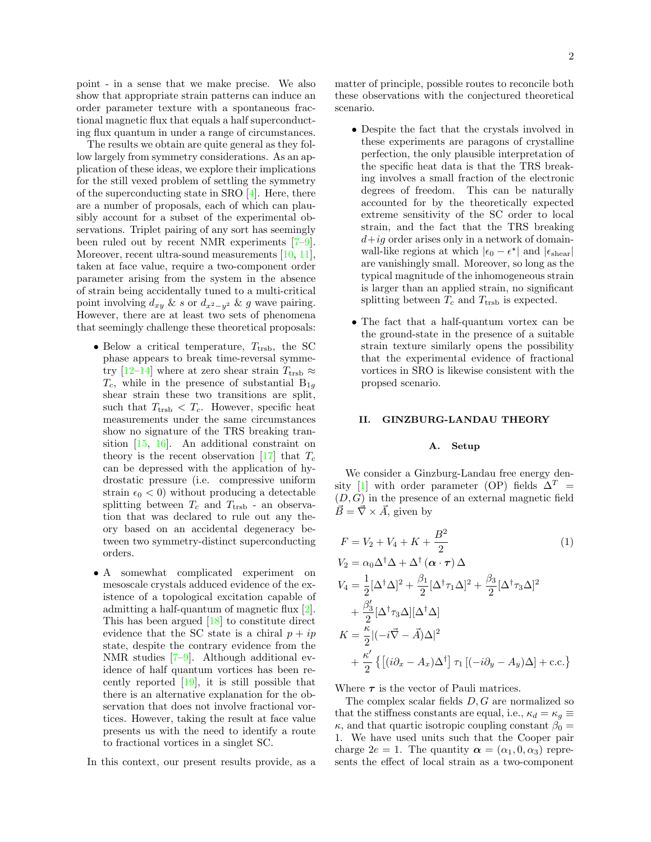point - in a sense that we make precise. We also show that appropriate strain patterns can induce an order parameter texture with a spontaneous fractional magnetic flux that equals a half superconducting flux quantum in under a range of circumstances.

The results we obtain are quite general as they follow largely from symmetry considerations. As an application of these ideas, we explore their implications for the still vexed problem of settling the symmetry of the superconducting state in SRO [\[4\]](#page-10-1). Here, there are a number of proposals, each of which can plausibly account for a subset of the experimental observations. Triplet pairing of any sort has seemingly been ruled out by recent NMR experiments [\[7–](#page-10-4)[9\]](#page-10-5). Moreover, recent ultra-sound measurements [\[10,](#page-10-6) [11\]](#page-10-7), taken at face value, require a two-component order parameter arising from the system in the absence of strain being accidentally tuned to a multi-critical point involving  $d_{xy}$  & s or  $d_{x^2-y^2}$  & g wave pairing. However, there are at least two sets of phenomena that seemingly challenge these theoretical proposals:

- Below a critical temperature,  $T_{\text{trsb}}$ , the SC phase appears to break time-reversal symme-try [\[12](#page-10-8)[–14\]](#page-10-9) where at zero shear strain  $T_{\text{trsb}} \approx$  $T_c$ , while in the presence of substantial  $B_{1g}$ shear strain these two transitions are split, such that  $T_{\text{trsb}} < T_c$ . However, specific heat measurements under the same circumstances show no signature of the TRS breaking transition [\[15,](#page-10-10) [16\]](#page-10-11). An additional constraint on theory is the recent observation [\[17\]](#page-10-12) that  $T_c$ can be depressed with the application of hydrostatic pressure (i.e. compressive uniform strain  $\epsilon_0 < 0$ ) without producing a detectable splitting between  $T_c$  and  $T_{\text{trsb}}$  - an observation that was declared to rule out any theory based on an accidental degeneracy between two symmetry-distinct superconducting orders.
- A somewhat complicated experiment on mesoscale crystals adduced evidence of the existence of a topological excitation capable of admitting a half-quantum of magnetic flux [\[2\]](#page-9-1). This has been argued [\[18\]](#page-10-13) to constitute direct evidence that the SC state is a chiral  $p + ip$ state, despite the contrary evidence from the NMR studies [\[7](#page-10-4)[–9\]](#page-10-5). Although additional evidence of half quantum vortices has been recently reported [\[19\]](#page-10-14), it is still possible that there is an alternative explanation for the observation that does not involve fractional vortices. However, taking the result at face value presents us with the need to identify a route to fractional vortices in a singlet SC.
- In this context, our present results provide, as a

matter of principle, possible routes to reconcile both these observations with the conjectured theoretical scenario.

- Despite the fact that the crystals involved in these experiments are paragons of crystalline perfection, the only plausible interpretation of the specific heat data is that the TRS breaking involves a small fraction of the electronic degrees of freedom. This can be naturally accounted for by the theoretically expected extreme sensitivity of the SC order to local strain, and the fact that the TRS breaking  $d+ig$  order arises only in a network of domainwall-like regions at which  $|\epsilon_0 - \epsilon^{\star}|$  and  $|\epsilon_{\rm shear}|$ are vanishingly small. Moreover, so long as the typical magnitude of the inhomogeneous strain is larger than an applied strain, no significant splitting between  $T_c$  and  $T_{\text{trsb}}$  is expected.
- The fact that a half-quantum vortex can be the ground-state in the presence of a suitable strain texture similarly opens the possibility that the experimental evidence of fractional vortices in SRO is likewise consistent with the propsed scenario.

# II. GINZBURG-LANDAU THEORY

### <span id="page-1-0"></span>A. Setup

We consider a Ginzburg-Landau free energy den-sity [\[1\]](#page-9-0) with order parameter (OP) fields  $\Delta^T$  =  $(D, G)$  in the presence of an external magnetic field  $\vec{B} = \vec{\nabla} \times \vec{A}$ , given by

$$
F = V_2 + V_4 + K + \frac{B^2}{2}
$$
\n
$$
V_2 = \alpha_0 \Delta^{\dagger} \Delta + \Delta^{\dagger} (\alpha \cdot \tau) \Delta
$$
\n
$$
V_4 = \frac{1}{2} [\Delta^{\dagger} \Delta]^2 + \frac{\beta_1}{2} [\Delta^{\dagger} \tau_1 \Delta]^2 + \frac{\beta_3}{2} [\Delta^{\dagger} \tau_3 \Delta]^2
$$
\n
$$
+ \frac{\beta_3'}{2} [\Delta^{\dagger} \tau_3 \Delta][\Delta^{\dagger} \Delta]
$$
\n
$$
K = \frac{\kappa}{2} |(-i\vec{\nabla} - \vec{A})\Delta|^2
$$
\n
$$
+ \frac{\kappa'}{2} \{ [ (i\partial_x - A_x)\Delta^{\dagger} ] \tau_1 [ (-i\partial_y - A_y)\Delta ] + \text{c.c.} \}
$$

Where  $\tau$  is the vector of Pauli matrices.

The complex scalar fields  $D, G$  are normalized so that the stiffness constants are equal, i.e.,  $\kappa_d = \kappa_g \equiv$  $\kappa$ , and that quartic isotropic coupling constant  $\beta_0 =$ 1. We have used units such that the Cooper pair charge  $2e = 1$ . The quantity  $\alpha = (\alpha_1, 0, \alpha_3)$  represents the effect of local strain as a two-component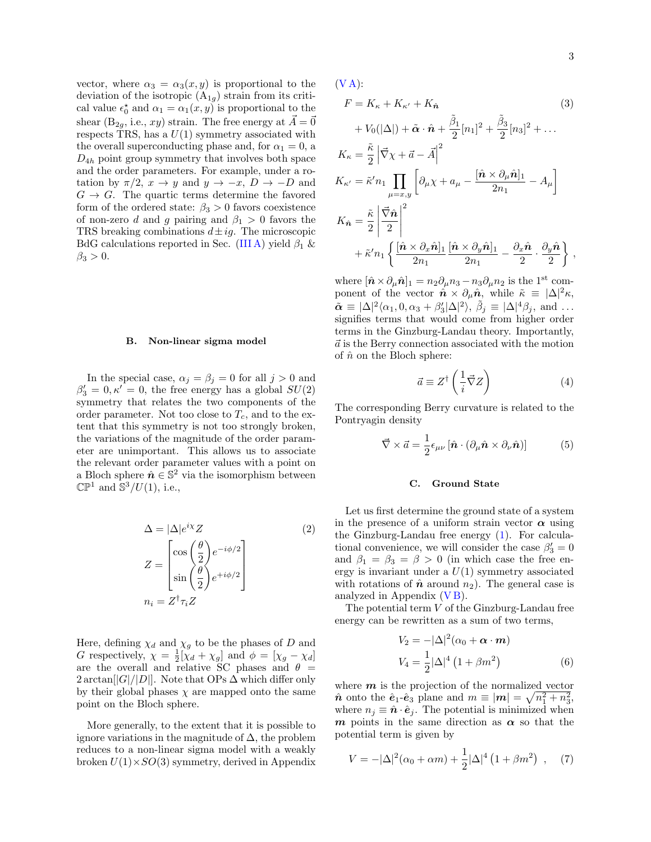vector, where  $\alpha_3 = \alpha_3(x, y)$  is proportional to the deviation of the isotropic  $(A_{1g})$  strain from its critical value  $\epsilon_0^*$  and  $\alpha_1 = \alpha_1(x, y)$  is proportional to the shear  $(B_{2q}, i.e., xy)$  strain. The free energy at  $\vec{A} = \vec{0}$ respects TRS, has a  $U(1)$  symmetry associated with the overall superconducting phase and, for  $\alpha_1 = 0$ , a  $D_{4h}$  point group symmetry that involves both space and the order parameters. For example, under a rotation by  $\pi/2$ ,  $x \to y$  and  $y \to -x$ ,  $D \to -D$  and  $G \rightarrow G$ . The quartic terms determine the favored form of the ordered state:  $\beta_3 > 0$  favors coexistence of non-zero d and g pairing and  $\beta_1 > 0$  favors the TRS breaking combinations  $d\pm ig$ . The microscopic BdG calculations reported in Sec. [\(III A\)](#page-7-0) yield  $\beta_1$  &  $\beta_3 > 0$ .

### B. Non-linear sigma model

In the special case,  $\alpha_j = \beta_j = 0$  for all  $j > 0$  and  $\beta'_3 = 0, \kappa' = 0$ , the free energy has a global  $SU(2)$ symmetry that relates the two components of the order parameter. Not too close to  $T_c$ , and to the extent that this symmetry is not too strongly broken, the variations of the magnitude of the order parameter are unimportant. This allows us to associate the relevant order parameter values with a point on a Bloch sphere  $\hat{\boldsymbol{n}} \in \mathbb{S}^2$  via the isomorphism between  $\mathbb{CP}^1$  and  $\mathbb{S}^3/U(1)$ , i.e.,

$$
\Delta = |\Delta|e^{i\chi}Z
$$
\n
$$
Z = \begin{bmatrix}\n\cos\left(\frac{\theta}{2}\right)e^{-i\phi/2} \\
\sin\left(\frac{\theta}{2}\right)e^{+i\phi/2}\n\end{bmatrix}
$$
\n
$$
n_i = Z^{\dagger}\tau_i Z
$$
\n(2)

Here, defining  $\chi_d$  and  $\chi_g$  to be the phases of D and G respectively,  $\chi = \frac{1}{2} [\chi_d + \chi_g]$  and  $\phi = [\chi_g - \chi_d]$ are the overall and relative SC phases and  $\theta =$  $2 \arctan[|G|/|D|]$ . Note that OPs  $\Delta$  which differ only by their global phases  $\chi$  are mapped onto the same point on the Bloch sphere.

More generally, to the extent that it is possible to ignore variations in the magnitude of  $\Delta$ , the problem reduces to a non-linear sigma model with a weakly broken  $U(1)\times SO(3)$  symmetry, derived in Appendix  $(V A)$ :

<span id="page-2-0"></span>
$$
F = K_{\kappa} + K_{\kappa'} + K_{\hat{n}} \qquad (3)
$$
  
+  $V_0(|\Delta|) + \tilde{\alpha} \cdot \hat{n} + \frac{\tilde{\beta}_1}{2} [n_1]^2 + \frac{\tilde{\beta}_3}{2} [n_3]^2 + \dots$   

$$
K_{\kappa} = \frac{\tilde{\kappa}}{2} \left| \vec{\nabla} \chi + \vec{a} - \vec{A} \right|^2
$$
  

$$
K_{\kappa'} = \tilde{\kappa}' n_1 \prod_{\mu = x, y} \left[ \partial_{\mu} \chi + a_{\mu} - \frac{[\hat{n} \times \partial_{\mu} \hat{n}]_1}{2n_1} - A_{\mu} \right]
$$
  

$$
K_{\hat{n}} = \frac{\tilde{\kappa}}{2} \left| \frac{\vec{\nabla} \hat{n}}{2} \right|^2
$$
  
+  $\tilde{\kappa}' n_1 \left\{ \frac{[\hat{n} \times \partial_x \hat{n}]_1}{2n_1} \frac{[\hat{n} \times \partial_y \hat{n}]_1}{2n_1} - \frac{\partial_x \hat{n}}{2} \cdot \frac{\partial_y \hat{n}}{2} \right\},$ 

where  $[\hat{\boldsymbol{n}} \times \partial_{\mu} \hat{\boldsymbol{n}}]_1 = n_2 \partial_{\mu} n_3 - n_3 \partial_{\mu} n_2$  is the 1<sup>st</sup> component of the vector  $\hat{\boldsymbol{n}} \times \partial_{\mu} \hat{\boldsymbol{n}}$ , while  $\tilde{\kappa} \equiv |\Delta|^2 \kappa$ ,  $\tilde{\boldsymbol{\alpha}} \equiv |\Delta|^2 \langle \alpha_1, 0, \alpha_3 + \beta_3' |\Delta|^2 \rangle$ ,  $\tilde{\beta}_j \equiv |\Delta|^4 \beta_j$ , and ... signifies terms that would come from higher order terms in the Ginzburg-Landau theory. Importantly,  $\vec{a}$  is the Berry connection associated with the motion of  $\hat{n}$  on the Bloch sphere:

$$
\vec{a} \equiv Z^{\dagger} \left( \frac{1}{i} \vec{\nabla} Z \right)
$$
 (4)

The corresponding Berry curvature is related to the Pontryagin density

$$
\vec{\nabla} \times \vec{a} = \frac{1}{2} \epsilon_{\mu\nu} \left[ \hat{\boldsymbol{n}} \cdot (\partial_{\mu} \hat{\boldsymbol{n}} \times \partial_{\nu} \hat{\boldsymbol{n}}) \right]
$$
(5)

# C. Ground State

Let us first determine the ground state of a system in the presence of a uniform strain vector  $\alpha$  using the Ginzburg-Landau free energy [\(1\)](#page-1-0). For calculational convenience, we will consider the case  $\beta'_3=0$ and  $\beta_1 = \beta_3 = \beta > 0$  (in which case the free energy is invariant under a  $U(1)$  symmetry associated with rotations of  $\hat{n}$  around  $n_2$ ). The general case is analyzed in Appendix  $(VB)$ .

The potential term  $V$  of the Ginzburg-Landau free energy can be rewritten as a sum of two terms,

$$
V_2 = -|\Delta|^2 (\alpha_0 + \alpha \cdot m)
$$
  
\n
$$
V_4 = \frac{1}{2} |\Delta|^4 (1 + \beta m^2)
$$
\n(6)

where  $m$  is the projection of the normalized vector  $\hat{n}$  onto the  $\hat{e}_1 - \hat{e}_3$  plane and  $m \equiv |\mathbf{m}| = \sqrt{n_1^2 + n_3^2}$ , where  $n_j \equiv \hat{\boldsymbol{n}} \cdot \hat{\boldsymbol{e}}_j$ . The potential is minimized when m points in the same direction as  $\alpha$  so that the potential term is given by

$$
V = -|\Delta|^2(\alpha_0 + \alpha m) + \frac{1}{2}|\Delta|^4 (1 + \beta m^2) , \quad (7)
$$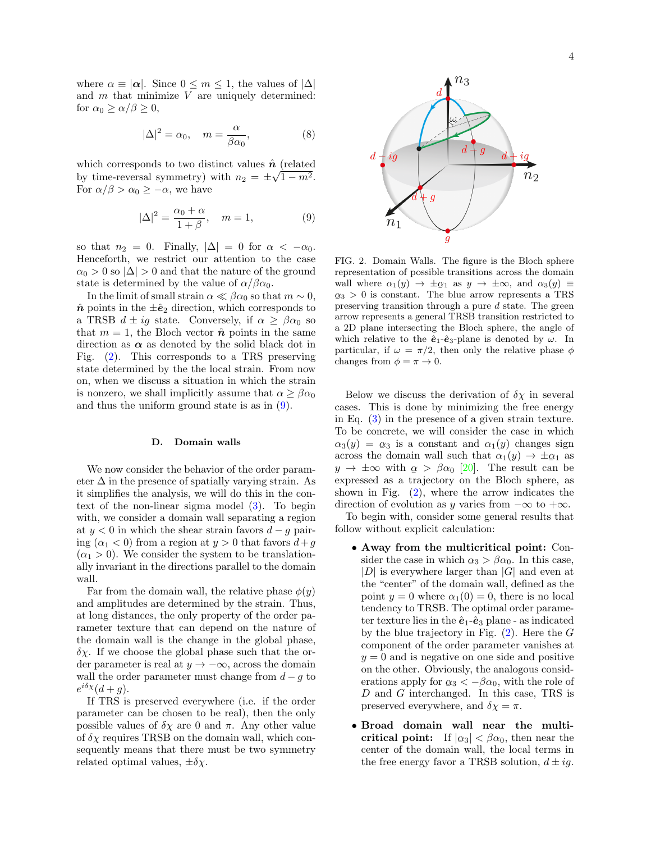where  $\alpha \equiv |\alpha|$ . Since  $0 \leq m \leq 1$ , the values of  $|\Delta|$ and  $m$  that minimize  $V$  are uniquely determined: for  $\alpha_0 \geq \alpha/\beta \geq 0$ ,

$$
|\Delta|^2 = \alpha_0, \quad m = \frac{\alpha}{\beta \alpha_0}, \tag{8}
$$

which corresponds to two distinct values  $\hat{\boldsymbol{n}}$  (related by time-reversal symmetry) with  $n_2 = \pm \sqrt{1 - m^2}$ . For  $\alpha/\beta > \alpha_0 \geq -\alpha$ , we have

<span id="page-3-1"></span>
$$
|\Delta|^2 = \frac{\alpha_0 + \alpha}{1 + \beta}, \quad m = 1,
$$
 (9)

so that  $n_2 = 0$ . Finally,  $|\Delta| = 0$  for  $\alpha < -\alpha_0$ . Henceforth, we restrict our attention to the case  $\alpha_0 > 0$  so  $|\Delta| > 0$  and that the nature of the ground state is determined by the value of  $\alpha/\beta\alpha_0$ .

In the limit of small strain  $\alpha \ll \beta \alpha_0$  so that  $m \sim 0$ ,  $\hat{\boldsymbol{n}}$  points in the  $\pm \hat{\boldsymbol{e}}_2$  direction, which corresponds to a TRSB  $d \pm ig$  state. Conversely, if  $\alpha \geq \beta \alpha_0$  so that  $m = 1$ , the Bloch vector  $\hat{\boldsymbol{n}}$  points in the same direction as  $\alpha$  as denoted by the solid black dot in Fig. [\(2\)](#page-3-0). This corresponds to a TRS preserving state determined by the the local strain. From now on, when we discuss a situation in which the strain is nonzero, we shall implicitly assume that  $\alpha > \beta \alpha_0$ and thus the uniform ground state is as in [\(9\)](#page-3-1).

#### D. Domain walls

We now consider the behavior of the order parameter  $\Delta$  in the presence of spatially varying strain. As it simplifies the analysis, we will do this in the context of the non-linear sigma model [\(3\)](#page-2-0). To begin with, we consider a domain wall separating a region at  $y < 0$  in which the shear strain favors  $d - q$  pairing  $(\alpha_1 < 0)$  from a region at  $y > 0$  that favors  $d + g$  $(\alpha_1 > 0)$ . We consider the system to be translationally invariant in the directions parallel to the domain wall.

Far from the domain wall, the relative phase  $\phi(y)$ and amplitudes are determined by the strain. Thus, at long distances, the only property of the order parameter texture that can depend on the nature of the domain wall is the change in the global phase,  $\delta \chi$ . If we choose the global phase such that the order parameter is real at  $y \to -\infty$ , across the domain wall the order parameter must change from  $d - g$  to  $e^{i\delta \chi}(d+g).$ 

If TRS is preserved everywhere (i.e. if the order parameter can be chosen to be real), then the only possible values of  $\delta \chi$  are 0 and  $\pi$ . Any other value of  $\delta \chi$  requires TRSB on the domain wall, which consequently means that there must be two symmetry related optimal values,  $\pm \delta \chi$ .



<span id="page-3-0"></span>FIG. 2. Domain Walls. The figure is the Bloch sphere representation of possible transitions across the domain wall where  $\alpha_1(y) \to \pm \alpha_1$  as  $y \to \pm \infty$ , and  $\alpha_3(y) \equiv$  $\alpha_3 > 0$  is constant. The blue arrow represents a TRS  $\frac{1}{25}$  or the state. The state arrow represents a Tris preserving transition through a pure d state. The green arrow represents a general TRSB transition restricted to a 2D plane intersecting the Bloch sphere, the angle of which relative to the  $\hat{\mathbf{e}}_1$ - $\hat{\mathbf{e}}_3$ -plane is denoted by  $\omega$ . In particular, if  $\omega = \pi/2$ , then only the relative phase  $\phi$ changes from  $\phi = \pi \rightarrow 0$ .

Below we discuss the derivation of  $\delta \chi$  in several cases. This is done by minimizing the free energy in Eq. [\(3\)](#page-2-0) in the presence of a given strain texture. To be concrete, we will consider the case in which  $\alpha_3(y) = \alpha_3$  is a constant and  $\alpha_1(y)$  changes sign across the domain wall such that  $\alpha_1(y) \to \pm \alpha_1$  as  $y \to \pm \infty$  with  $\alpha > \beta \alpha_0$  [\[20\]](#page-10-15). The result can be  $e^{i\theta}$  and  $\frac{1}{2}$   $\frac{1}{2}$   $\frac{1}{2}$   $\frac{1}{2}$   $\frac{1}{2}$   $\frac{1}{2}$   $\frac{1}{2}$   $\frac{1}{2}$   $\frac{1}{2}$   $\frac{1}{2}$   $\frac{1}{2}$   $\frac{1}{2}$   $\frac{1}{2}$   $\frac{1}{2}$   $\frac{1}{2}$   $\frac{1}{2}$   $\frac{1}{2}$   $\frac{1}{2}$   $\frac{1}{2}$   $\frac{1}{2}$   $\frac{1}{2}$ shown in Fig.  $(2)$ , where the arrow indicates the direction of evolution as y varies from  $-\infty$  to  $+\infty$ .

To begin with, consider some general results that follow without explicit calculation:

- Away from the multicritical point: Consider the case in which  $\alpha_3 > \beta \alpha_0$ . In this case,  $|D|$  is everywhere larger than  $|G|$  and even at the "center" of the domain wall, defined as the point  $y = 0$  where  $\alpha_1(0) = 0$ , there is no local tendency to TRSB. The optimal order parameter texture lies in the  $\hat{e}_1$ - $\hat{e}_3$  plane - as indicated by the blue trajectory in Fig.  $(2)$ . Here the G component of the order parameter vanishes at  $y = 0$  and is negative on one side and positive on the other. Obviously, the analogous considerations apply for  $\alpha_3 < -\beta \alpha_0$ , with the role of  $D$  and  $G$  interchanged. In this case, TRS is preserved everywhere, and  $\delta \chi = \pi$ .
- Broad domain wall near the multicritical point: If  $|\alpha_3| < \beta \alpha_0$ , then near the  $\frac{1}{\log_2}$   $\frac{1}{\log_2}$   $\frac{1}{\log_2}$   $\frac{1}{\log_2}$  and the center of the domain wall, the local terms in the free energy favor a TRSB solution,  $d \pm i g$ .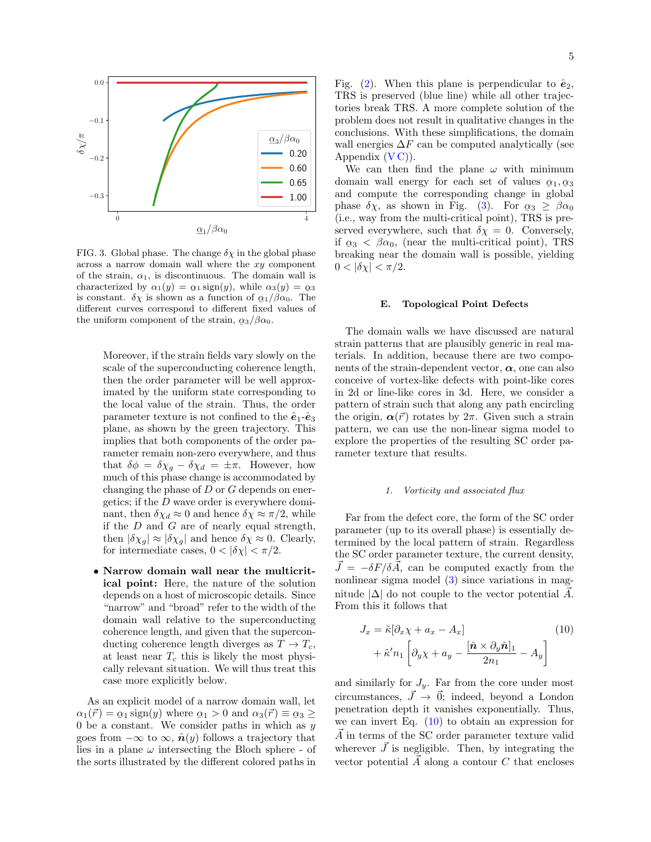

<span id="page-4-0"></span>FIG. 3. Global phase. The change  $\delta \chi$  in the global phase across a narrow domain wall where the xy component of the strain,  $\alpha_1$ , is discontinuous. The domain wall is characterized by  $\alpha_1(y) = \alpha_1 \text{sign}(y)$ , while  $\alpha_3(y) = \alpha_3$  $\frac{\partial}{\partial \chi} \frac{\partial}{\partial \chi} \frac{\partial}{\partial \chi} \frac{\partial}{\partial \chi} \frac{\partial}{\partial \chi} \frac{\partial}{\partial \chi} \frac{\partial}{\partial \chi} \frac{\partial}{\partial \chi} \frac{\partial}{\partial \chi} \frac{\partial}{\partial \chi} \frac{\partial}{\partial \chi} \frac{\partial}{\partial \chi} \frac{\partial}{\partial \chi} \frac{\partial}{\partial \chi} \frac{\partial}{\partial \chi} \frac{\partial}{\partial \chi} \frac{\partial}{\partial \chi} \frac{\partial}{\partial \chi} \frac{\partial}{\partial \chi} \frac{\partial}{\partial \chi} \frac{\partial}{\partial \chi} \frac{\partial}{\partial \chi}$ different curves correspond to different fixed values of the uniform component of the strain,  $\alpha_3/\beta\alpha_0$ .

Moreover, if the strain fields vary slowly on the scale of the superconducting coherence length, then the order parameter will be well approximated by the uniform state corresponding to the local value of the strain. Thus, the order parameter texture is not confined to the  $\hat{\mathbf{e}}_1$ - $\hat{\mathbf{e}}_3$ plane, as shown by the green trajectory. This implies that both components of the order parameter remain non-zero everywhere, and thus that  $\delta \phi = \delta \chi_g - \delta \chi_d = \pm \pi$ . However, how much of this phase change is accommodated by changing the phase of  $D$  or  $G$  depends on energetics; if the D wave order is everywhere dominant, then  $\delta \chi_d \approx 0$  and hence  $\delta \chi \approx \pi/2$ , while if the  $D$  and  $G$  are of nearly equal strength, then  $|\delta \chi_q| \approx |\delta \chi_q|$  and hence  $\delta \chi \approx 0$ . Clearly, for intermediate cases,  $0 < |\delta \chi| < \pi/2$ .

• Narrow domain wall near the multicritical point: Here, the nature of the solution depends on a host of microscopic details. Since "narrow" and "broad" refer to the width of the domain wall relative to the superconducting coherence length, and given that the superconducting coherence length diverges as  $T \to T_c$ , at least near  $T_c$  this is likely the most physically relevant situation. We will thus treat this case more explicitly below.

As an explicit model of a narrow domain wall, let  $\alpha_1(\vec{r}) = \alpha_1 \operatorname{sign}(y)$  where  $\alpha_1 > 0$  and  $\alpha_3(\vec{r}) \equiv \alpha_3 \geq$  $\frac{\alpha_1(\nu)}{\alpha_1}$  is  $\frac{\alpha_2}{\alpha_2}$  of the  $\frac{\alpha_3(\nu)}{\alpha_3}$  is  $\frac{\alpha_3(\nu)}{\alpha_3}$  is  $\frac{\alpha_3(\nu)}{\alpha_3}$ goes from  $-\infty$  to  $\infty$ ,  $\hat{\mathbf{n}}(y)$  follows a trajectory that lies in a plane  $\omega$  intersecting the Bloch sphere - of the sorts illustrated by the different colored paths in Fig. [\(2\)](#page-3-0). When this plane is perpendicular to  $\hat{\mathbf{e}}_2$ , TRS is preserved (blue line) while all other trajectories break TRS. A more complete solution of the problem does not result in qualitative changes in the conclusions. With these simplifications, the domain wall energies  $\Delta F$  can be computed analytically (see Appendix  $(V C)$ ).

We can then find the plane  $\omega$  with minimum domain wall energy for each set of values  $\alpha_1, \alpha_3$  $\frac{1}{21}$  and compute the corresponding change in global phase  $\delta \chi$ , as shown in Fig. [\(3\)](#page-4-0). For  $\alpha_3 \geq \beta \alpha_0$ (i.e., way from the multi-critical point), TRS is preserved everywhere, such that  $\delta \chi = 0$ . Conversely, if  $\alpha_3 < \beta \alpha_0$ , (near the multi-critical point), TRS  $\frac{1}{25}$   $\lt$   $\frac{1}{20}$ ,  $\frac{1}{20}$ ,  $\frac{1}{20}$  and  $\frac{1}{20}$  and  $\frac{1}{20}$  breaking near the domain wall is possible, yielding  $0 < |\delta \chi| < \pi/2$ .

# E. Topological Point Defects

The domain walls we have discussed are natural strain patterns that are plausibly generic in real materials. In addition, because there are two components of the strain-dependent vector,  $\alpha$ , one can also conceive of vortex-like defects with point-like cores in 2d or line-like cores in 3d. Here, we consider a pattern of strain such that along any path encircling the origin,  $\alpha(\vec{r})$  rotates by  $2\pi$ . Given such a strain pattern, we can use the non-linear sigma model to explore the properties of the resulting SC order parameter texture that results.

#### 1. Vorticity and associated flux

Far from the defect core, the form of the SC order parameter (up to its overall phase) is essentially determined by the local pattern of strain. Regardless the SC order parameter texture, the current density,  $\vec{J} = -\delta F/\delta \vec{A}$ , can be computed exactly from the nonlinear sigma model [\(3\)](#page-2-0) since variations in magnitude  $|\Delta|$  do not couple to the vector potential  $\overline{A}$ . From this it follows that

<span id="page-4-1"></span>
$$
J_x = \tilde{\kappa} \left[ \partial_x \chi + a_x - A_x \right] + \tilde{\kappa}' n_1 \left[ \partial_y \chi + a_y - \frac{\left[ \hat{\boldsymbol{n}} \times \partial_y \hat{\boldsymbol{n}} \right]_1}{2n_1} - A_y \right]
$$
(10)

and similarly for  $J_y$ . Far from the core under most circumstances,  $\vec{J} \rightarrow \vec{0}$ ; indeed, beyond a London penetration depth it vanishes exponentially. Thus, we can invert Eq.  $(10)$  to obtain an expression for  $\overrightarrow{A}$  in terms of the SC order parameter texture valid wherever  $\vec{J}$  is negligible. Then, by integrating the vector potential  $\vec{A}$  along a contour C that encloses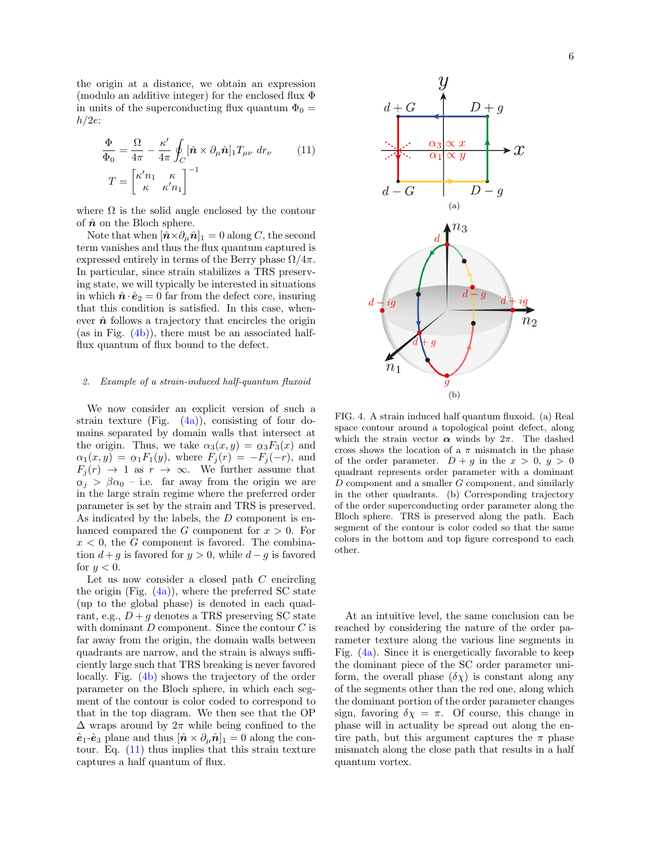the origin at a distance, we obtain an expression (modulo an additive integer) for the enclosed flux Φ in units of the superconducting flux quantum  $\Phi_0 =$  $h/2e$ :

$$
\frac{\Phi}{\Phi_0} = \frac{\Omega}{4\pi} - \frac{\kappa'}{4\pi} \oint_C [\hat{\mathbf{n}} \times \partial_\mu \hat{\mathbf{n}}]_1 T_{\mu\nu} dr_\nu \qquad (11)
$$
\n
$$
T = \begin{bmatrix} \kappa' n_1 & \kappa \\ \kappa & \kappa' n_1 \end{bmatrix}^{-1}
$$

where  $\Omega$  is the solid angle enclosed by the contour of  $\hat{n}$  on the Bloch sphere.

Note that when  $[\hat{\boldsymbol{n}} \times \partial_{\mu} \hat{\boldsymbol{n}}]_1 = 0$  along C, the second term vanishes and thus the flux quantum captured is expressed entirely in terms of the Berry phase  $\Omega/4\pi$ . In particular, since strain stabilizes a TRS preserving state, we will typically be interested in situations in which  $\hat{\boldsymbol{n}} \cdot \hat{\boldsymbol{e}}_2 = 0$  far from the defect core, insuring that this condition is satisfied. In this case, whenever  $\hat{\boldsymbol{n}}$  follows a trajectory that encircles the origin (as in Fig.  $(4b)$ ), there must be an associated halfflux quantum of flux bound to the defect.

### Example of a strain-induced half-quantum fluxoid

We now consider an explicit version of such a strain texture (Fig.  $(4a)$ ), consisting of four domains separated by domain walls that intersect at the origin. Thus, we take  $\alpha_3(x,y) = \alpha_3 F_3(x)$  and  $\alpha_1(x, y) = \alpha_1 F_1(y)$ , where  $F_j(r) = -F_j(-r)$ , and  $F_j(r) \to 1$  as  $r \to \infty$ . We further assume that  $\frac{dy}{dx}$  is the large strain regime where the preferred order  $\alpha_i > \beta \alpha_0$  – i.e. far away from the origin we are parameter is set by the strain and TRS is preserved. As indicated by the labels, the D component is enhanced compared the G component for  $x > 0$ . For  $x < 0$ , the G component is favored. The combination  $d + g$  is favored for  $y > 0$ , while  $d - g$  is favored for  $y < 0$ .

Let us now consider a closed path  $C$  encircling the origin (Fig.  $(4a)$ ), where the preferred SC state (up to the global phase) is denoted in each quadrant, e.g.,  $D + q$  denotes a TRS preserving SC state with dominant  $D$  component. Since the contour  $C$  is far away from the origin, the domain walls between quadrants are narrow, and the strain is always sufficiently large such that TRS breaking is never favored locally. Fig. [\(4b\)](#page-5-0) shows the trajectory of the order parameter on the Bloch sphere, in which each segment of the contour is color coded to correspond to that in the top diagram. We then see that the OP  $\Delta$  wraps around by  $2\pi$  while being confined to the  $\hat{\mathbf{e}}_1$ - $\hat{\mathbf{e}}_3$  plane and thus  $[\hat{\mathbf{n}} \times \partial_\mu \hat{\mathbf{n}}]_1 = 0$  along the contour. Eq. [\(11\)](#page-5-2) thus implies that this strain texture captures a half quantum of flux.

<span id="page-5-2"></span><span id="page-5-1"></span>

<span id="page-5-3"></span><span id="page-5-0"></span>FIG. 4. A strain induced half quantum fluxoid. (a) Real space contour around a topological point defect, along which the strain vector  $\alpha$  winds by  $2\pi$ . The dashed cross shows the location of a  $\pi$  mismatch in the phase of the order parameter.  $D+g$  in the  $x > 0$ ,  $y > 0$ quadrant represents order parameter with a dominant D component and a smaller G component, and similarly in the other quadrants. (b) Corresponding trajectory of the order superconducting order parameter along the Bloch sphere. TRS is preserved along the path. Each segment of the contour is color coded so that the same colors in the bottom and top figure correspond to each other.

At an intuitive level, the same conclusion can be reached by considering the nature of the order parameter texture along the various line segments in Fig. [\(4a\)](#page-5-1). Since it is energetically favorable to keep the dominant piece of the SC order parameter uniform, the overall phase  $(\delta \chi)$  is constant along any of the segments other than the red one, along which the dominant portion of the order parameter changes sign, favoring  $\delta \chi = \pi$ . Of course, this change in phase will in actuality be spread out along the entire path, but this argument captures the  $\pi$  phase mismatch along the close path that results in a half quantum vortex.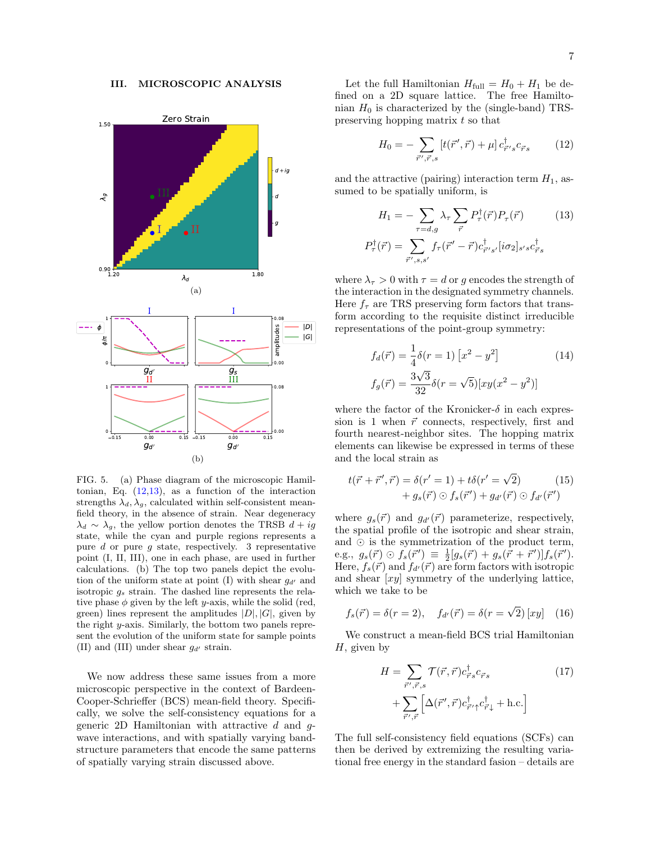#### III. MICROSCOPIC ANALYSIS

<span id="page-6-2"></span>

<span id="page-6-3"></span>FIG. 5. (a) Phase diagram of the microscopic Hamiltonian, Eq.  $(12,13)$  $(12,13)$ , as a function of the interaction strengths  $\lambda_d$ ,  $\lambda_g$ , calculated within self-consistent meanfield theory, in the absence of strain. Near degeneracy  $\lambda_d \sim \lambda_g$ , the yellow portion denotes the TRSB  $d + iq$ state, while the cyan and purple regions represents a pure d or pure q state, respectively. 3 representative point (I, II, III), one in each phase, are used in further calculations. (b) The top two panels depict the evolution of the uniform state at point (I) with shear  $g_{d'}$  and isotropic  $g_s$  strain. The dashed line represents the relative phase  $\phi$  given by the left y-axis, while the solid (red, green) lines represent the amplitudes  $|D|, |G|$ , given by the right y-axis. Similarly, the bottom two panels represent the evolution of the uniform state for sample points (II) and (III) under shear  $g_{d'}$  strain.

We now address these same issues from a more microscopic perspective in the context of Bardeen-Cooper-Schrieffer (BCS) mean-field theory. Specifically, we solve the self-consistency equations for a generic 2D Hamiltonian with attractive  $d$  and  $g$ wave interactions, and with spatially varying bandstructure parameters that encode the same patterns of spatially varying strain discussed above.

Let the full Hamiltonian  $H_{\text{full}} = H_0 + H_1$  be defined on a 2D square lattice. The free Hamiltonian  $H_0$  is characterized by the (single-band) TRSpreserving hopping matrix t so that

<span id="page-6-1"></span><span id="page-6-0"></span>
$$
H_0 = -\sum_{\vec{r}', \vec{r}, s} \left[ t(\vec{r}', \vec{r}) + \mu \right] c_{\vec{r}' s}^{\dagger} c_{\vec{r} s} \tag{12}
$$

and the attractive (pairing) interaction term  $H_1$ , assumed to be spatially uniform, is

$$
H_1 = -\sum_{\tau=d,g} \lambda_{\tau} \sum_{\vec{r}} P_{\tau}^{\dagger}(\vec{r}) P_{\tau}(\vec{r}) \qquad (13)
$$

$$
P_{\tau}^{\dagger}(\vec{r}) = \sum_{\vec{r}',s,s'} f_{\tau}(\vec{r}' - \vec{r}) c_{\vec{r}'s'}^{\dagger} [i\sigma_2]_{s's} c_{\vec{r}'s}^{\dagger}
$$

where  $\lambda_{\tau} > 0$  with  $\tau = d$  or g encodes the strength of the interaction in the designated symmetry channels. Here  $f_{\tau}$  are TRS preserving form factors that transform according to the requisite distinct irreducible representations of the point-group symmetry:

$$
f_d(\vec{r}) = \frac{1}{4}\delta(r=1) [x^2 - y^2]
$$
 (14)  

$$
f_g(\vec{r}) = \frac{3\sqrt{3}}{32}\delta(r = \sqrt{5})[xy(x^2 - y^2)]
$$

where the factor of the Kronicker- $\delta$  in each expression is 1 when  $\vec{r}$  connects, respectively, first and fourth nearest-neighbor sites. The hopping matrix elements can likewise be expressed in terms of these and the local strain as

$$
t(\vec{r} + \vec{r}', \vec{r}) = \delta(r' = 1) + t\delta(r' = \sqrt{2})
$$
  
+  $g_s(\vec{r}) \odot f_s(\vec{r}') + g_{d'}(\vec{r}) \odot f_{d'}(\vec{r}')$  (15)

where  $g_s(\vec{r})$  and  $g_{d'}(\vec{r})$  parameterize, respectively, the spatial profile of the isotropic and shear strain, and  $\odot$  is the symmetrization of the product term,  $e.g., g_s(\vec{r}) \odot f_s(\vec{r}') \equiv \frac{1}{2}[g_s(\vec{r}) + g_s(\vec{r} + \vec{r}')]f_s(\vec{r}').$ Here,  $f_s(\vec{r})$  and  $f_{d'}(\vec{r})$  are form factors with isotropic and shear  $[xy]$  symmetry of the underlying lattice, which we take to be

$$
f_s(\vec{r}) = \delta(r=2), \quad f_{d'}(\vec{r}) = \delta(r=\sqrt{2}) [xy] \quad (16)
$$

We construct a mean-field BCS trial Hamiltonian  $H$ , given by

$$
H = \sum_{\vec{r}', \vec{r}, s} \mathcal{T}(\vec{r}, \vec{r}) c_{\vec{r}s}^{\dagger} c_{\vec{r}s}
$$
(17)  
+ 
$$
\sum_{\vec{r}', \vec{r}} \left[ \Delta(\vec{r}', \vec{r}) c_{\vec{r}' \uparrow}^{\dagger} c_{\vec{r} \downarrow}^{\dagger} + \text{h.c.} \right]
$$

The full self-consistency field equations (SCFs) can then be derived by extremizing the resulting variational free energy in the standard fasion – details are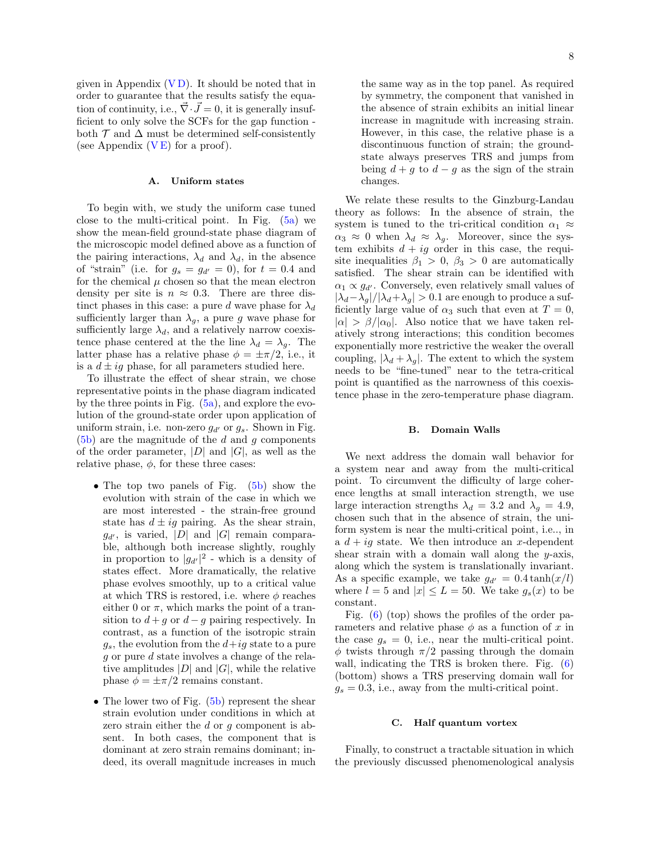given in Appendix  $(VD)$ . It should be noted that in order to guarantee that the results satisfy the equation of continuity, i.e.,  $\vec{\nabla} \cdot \vec{J} = 0$ , it is generally insufficient to only solve the SCFs for the gap function both  $\mathcal T$  and  $\Delta$  must be determined self-consistently (see Appendix  $(V E)$  for a proof).

### <span id="page-7-0"></span>A. Uniform states

To begin with, we study the uniform case tuned close to the multi-critical point. In Fig.  $(5a)$  we show the mean-field ground-state phase diagram of the microscopic model defined above as a function of the pairing interactions,  $\lambda_d$  and  $\lambda_d$ , in the absence of "strain" (i.e. for  $g_s = g_{d'} = 0$ ), for  $t = 0.4$  and for the chemical  $\mu$  chosen so that the mean electron density per site is  $n \approx 0.3$ . There are three distinct phases in this case: a pure d wave phase for  $\lambda_d$ sufficiently larger than  $\lambda_g$ , a pure g wave phase for sufficiently large  $\lambda_d$ , and a relatively narrow coexistence phase centered at the the line  $\lambda_d = \lambda_q$ . The latter phase has a relative phase  $\phi = \pm \pi/2$ , i.e., it is a  $d \pm ig$  phase, for all parameters studied here.

To illustrate the effect of shear strain, we chose representative points in the phase diagram indicated by the three points in Fig.  $(5a)$ , and explore the evolution of the ground-state order upon application of uniform strain, i.e. non-zero  $q_{d'}$  or  $q_s$ . Shown in Fig.  $(5b)$  are the magnitude of the d and g components of the order parameter,  $|D|$  and  $|G|$ , as well as the relative phase,  $\phi$ , for these three cases:

- The top two panels of Fig. [\(5b\)](#page-6-3) show the evolution with strain of the case in which we are most interested - the strain-free ground state has  $d \pm ig$  pairing. As the shear strain,  $g_{d'}$ , is varied, |D| and |G| remain comparable, although both increase slightly, roughly in proportion to  $|g_{d'}|^2$  - which is a density of states effect. More dramatically, the relative phase evolves smoothly, up to a critical value at which TRS is restored, i.e. where  $\phi$  reaches either 0 or  $\pi$ , which marks the point of a transition to  $d + g$  or  $d - g$  pairing respectively. In contrast, as a function of the isotropic strain  $g_s$ , the evolution from the  $d+ig$  state to a pure g or pure d state involves a change of the relative amplitudes  $|D|$  and  $|G|$ , while the relative phase  $\phi = \pm \pi/2$  remains constant.
- The lower two of Fig.  $(5b)$  represent the shear strain evolution under conditions in which at zero strain either the d or g component is absent. In both cases, the component that is dominant at zero strain remains dominant; indeed, its overall magnitude increases in much

the same way as in the top panel. As required by symmetry, the component that vanished in the absence of strain exhibits an initial linear increase in magnitude with increasing strain. However, in this case, the relative phase is a discontinuous function of strain; the groundstate always preserves TRS and jumps from being  $d + g$  to  $d - g$  as the sign of the strain changes.

We relate these results to the Ginzburg-Landau theory as follows: In the absence of strain, the system is tuned to the tri-critical condition  $\alpha_1 \approx$  $\alpha_3 \approx 0$  when  $\lambda_d \approx \lambda_g$ . Moreover, since the system exhibits  $d + ig$  order in this case, the requisite inequalities  $\beta_1 > 0$ ,  $\beta_3 > 0$  are automatically satisfied. The shear strain can be identified with  $\alpha_1 \propto g_{d'}$ . Conversely, even relatively small values of  $|\lambda_d-\lambda_g|/|\lambda_d+\lambda_g| > 0.1$  are enough to produce a sufficiently large value of  $\alpha_3$  such that even at  $T=0$ ,  $|\alpha| > \beta/|\alpha_0|$ . Also notice that we have taken relatively strong interactions; this condition becomes exponentially more restrictive the weaker the overall coupling,  $|\lambda_d + \lambda_g|$ . The extent to which the system needs to be "fine-tuned" near to the tetra-critical point is quantified as the narrowness of this coexistence phase in the zero-temperature phase diagram.

#### B. Domain Walls

We next address the domain wall behavior for a system near and away from the multi-critical point. To circumvent the difficulty of large coherence lengths at small interaction strength, we use large interaction strengths  $\lambda_d = 3.2$  and  $\lambda_g = 4.9$ , chosen such that in the absence of strain, the uniform system is near the multi-critical point, i.e.., in a  $d + iq$  state. We then introduce an x-dependent shear strain with a domain wall along the y-axis, along which the system is translationally invariant. As a specific example, we take  $g_{d'} = 0.4 \tanh(x/l)$ where  $l = 5$  and  $|x| \le L = 50$ . We take  $g_s(x)$  to be constant.

Fig. [\(6\)](#page-8-0) (top) shows the profiles of the order parameters and relative phase  $\phi$  as a function of x in the case  $g_s = 0$ , i.e., near the multi-critical point.  $\phi$  twists through  $\pi/2$  passing through the domain wall, indicating the TRS is broken there. Fig.  $(6)$ (bottom) shows a TRS preserving domain wall for  $g_s = 0.3$ , i.e., away from the multi-critical point.

#### C. Half quantum vortex

Finally, to construct a tractable situation in which the previously discussed phenomenological analysis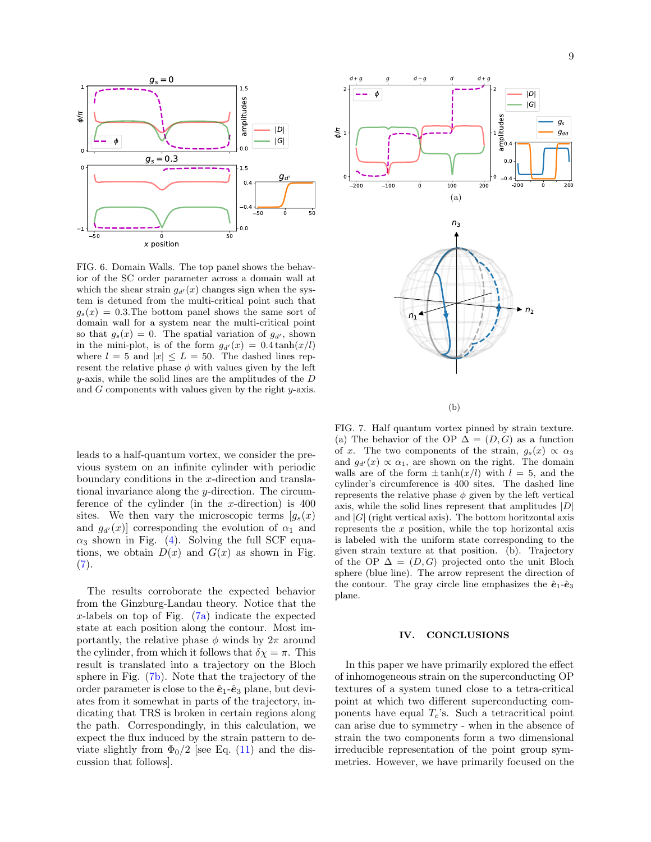

<span id="page-8-0"></span>FIG. 6. Domain Walls. The top panel shows the behavior of the SC order parameter across a domain wall at which the shear strain  $g_{d'}(x)$  changes sign when the system is detuned from the multi-critical point such that  $g_s(x) = 0.3$ . The bottom panel shows the same sort of domain wall for a system near the multi-critical point so that  $g_s(x) = 0$ . The spatial variation of  $g_{d'}$ , shown in the mini-plot, is of the form  $g_{d'}(x) = 0.4 \tanh(x/l)$ where  $l = 5$  and  $|x| \le L = 50$ . The dashed lines represent the relative phase  $\phi$  with values given by the left  $y$ -axis, while the solid lines are the amplitudes of the  $D$ and  $G$  components with values given by the right  $y$ -axis.

leads to a half-quantum vortex, we consider the previous system on an infinite cylinder with periodic boundary conditions in the x-direction and translational invariance along the y-direction. The circumference of the cylinder (in the  $x$ -direction) is  $400$ sites. We then vary the microscopic terms  $[g_s(x)]$ and  $g_{d'}(x)$  corresponding the evolution of  $\alpha_1$  and  $\alpha_3$  shown in Fig. [\(4\)](#page-5-3). Solving the full SCF equations, we obtain  $D(x)$  and  $G(x)$  as shown in Fig.  $(7).$  $(7).$ 

The results corroborate the expected behavior from the Ginzburg-Landau theory. Notice that the x-labels on top of Fig.  $(7a)$  indicate the expected state at each position along the contour. Most importantly, the relative phase  $\phi$  winds by  $2\pi$  around the cylinder, from which it follows that  $\delta \chi = \pi$ . This result is translated into a trajectory on the Bloch sphere in Fig. [\(7b\)](#page-8-3). Note that the trajectory of the order parameter is close to the  $\hat{e}_1$ - $\hat{e}_3$  plane, but deviates from it somewhat in parts of the trajectory, indicating that TRS is broken in certain regions along the path. Correspondingly, in this calculation, we expect the flux induced by the strain pattern to deviate slightly from  $\Phi_0/2$  [see Eq. [\(11\)](#page-5-2) and the discussion that follows].

<span id="page-8-2"></span>

(b)

<span id="page-8-3"></span><span id="page-8-1"></span>FIG. 7. Half quantum vortex pinned by strain texture. (a) The behavior of the OP  $\Delta = (D, G)$  as a function of x. The two components of the strain,  $g_s(x) \propto \alpha_3$ and  $g_{d'}(x) \propto \alpha_1$ , are shown on the right. The domain walls are of the form  $\pm \tanh(x/l)$  with  $l = 5$ , and the cylinder's circumference is 400 sites. The dashed line represents the relative phase  $\phi$  given by the left vertical axis, while the solid lines represent that amplitudes  $|D|$ and  $|G|$  (right vertical axis). The bottom horitzontal axis represents the x position, while the top horizontal axis is labeled with the uniform state corresponding to the given strain texture at that position. (b). Trajectory of the OP  $\Delta = (D, G)$  projected onto the unit Bloch sphere (blue line). The arrow represent the direction of the contour. The gray circle line emphasizes the  $\hat{\mathbf{e}}_1$ - $\hat{\mathbf{e}}_3$ plane.

#### IV. CONCLUSIONS

In this paper we have primarily explored the effect of inhomogeneous strain on the superconducting OP textures of a system tuned close to a tetra-critical point at which two different superconducting components have equal  $T_c$ 's. Such a tetracritical point can arise due to symmetry - when in the absence of strain the two components form a two dimensional irreducible representation of the point group symmetries. However, we have primarily focused on the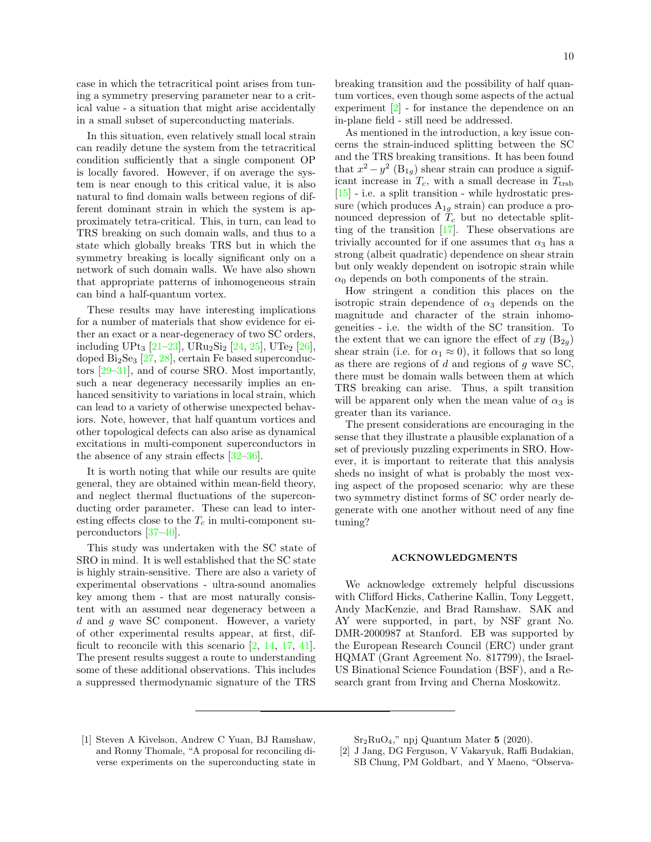case in which the tetracritical point arises from tuning a symmetry preserving parameter near to a critical value - a situation that might arise accidentally in a small subset of superconducting materials.

In this situation, even relatively small local strain can readily detune the system from the tetracritical condition sufficiently that a single component OP is locally favored. However, if on average the system is near enough to this critical value, it is also natural to find domain walls between regions of different dominant strain in which the system is approximately tetra-critical. This, in turn, can lead to TRS breaking on such domain walls, and thus to a state which globally breaks TRS but in which the symmetry breaking is locally significant only on a network of such domain walls. We have also shown that appropriate patterns of inhomogeneous strain can bind a half-quantum vortex.

These results may have interesting implications for a number of materials that show evidence for either an exact or a near-degeneracy of two SC orders, including UPt<sub>3</sub> [\[21–](#page-10-16)[23\]](#page-10-17), URu<sub>2</sub>Si<sub>2</sub> [\[24,](#page-10-18) [25\]](#page-10-19), UTe<sub>2</sub> [\[26\]](#page-11-1), doped  $Bi<sub>2</sub>Se<sub>3</sub>$  [\[27,](#page-11-2) [28\]](#page-11-3), certain Fe based superconductors [\[29–](#page-11-4)[31\]](#page-11-5), and of course SRO. Most importantly, such a near degeneracy necessarily implies an enhanced sensitivity to variations in local strain, which can lead to a variety of otherwise unexpected behaviors. Note, however, that half quantum vortices and other topological defects can also arise as dynamical excitations in multi-component superconductors in the absence of any strain effects  $[32-36]$ .

It is worth noting that while our results are quite general, they are obtained within mean-field theory, and neglect thermal fluctuations of the superconducting order parameter. These can lead to interesting effects close to the  $T_c$  in multi-component superconductors [\[37](#page-11-8)[–40\]](#page-11-9).

This study was undertaken with the SC state of SRO in mind. It is well established that the SC state is highly strain-sensitive. There are also a variety of experimental observations - ultra-sound anomalies key among them - that are most naturally consistent with an assumed near degeneracy between a  $d$  and  $g$  wave SC component. However, a variety of other experimental results appear, at first, difficult to reconcile with this scenario [\[2,](#page-9-1) [14,](#page-10-9) [17,](#page-10-12) [41\]](#page-11-10). The present results suggest a route to understanding some of these additional observations. This includes a suppressed thermodynamic signature of the TRS breaking transition and the possibility of half quantum vortices, even though some aspects of the actual experiment  $\boxed{2}$  - for instance the dependence on an in-plane field - still need be addressed.

As mentioned in the introduction, a key issue concerns the strain-induced splitting between the SC and the TRS breaking transitions. It has been found that  $x^2 - y^2$  (B<sub>1g</sub>) shear strain can produce a significant increase in  $T_c$ , with a small decrease in  $T_{\text{trsb}}$ [\[15\]](#page-10-10) - i.e. a split transition - while hydrostatic pressure (which produces  $A_{1g}$  strain) can produce a pronounced depression of  $T_c$  but no detectable splitting of the transition [\[17\]](#page-10-12). These observations are trivially accounted for if one assumes that  $\alpha_3$  has a strong (albeit quadratic) dependence on shear strain but only weakly dependent on isotropic strain while  $\alpha_0$  depends on both components of the strain.

How stringent a condition this places on the isotropic strain dependence of  $\alpha_3$  depends on the magnitude and character of the strain inhomogeneities - i.e. the width of the SC transition. To the extent that we can ignore the effect of  $xy$  (B<sub>2g</sub>) shear strain (i.e. for  $\alpha_1 \approx 0$ ), it follows that so long as there are regions of  $d$  and regions of  $g$  wave SC, there must be domain walls between them at which TRS breaking can arise. Thus, a spilt transition will be apparent only when the mean value of  $\alpha_3$  is greater than its variance.

The present considerations are encouraging in the sense that they illustrate a plausible explanation of a set of previously puzzling experiments in SRO. However, it is important to reiterate that this analysis sheds no insight of what is probably the most vexing aspect of the proposed scenario: why are these two symmetry distinct forms of SC order nearly degenerate with one another without need of any fine tuning?

#### ACKNOWLEDGMENTS

We acknowledge extremely helpful discussions with Clifford Hicks, Catherine Kallin, Tony Leggett, Andy MacKenzie, and Brad Ramshaw. SAK and AY were supported, in part, by NSF grant No. DMR-2000987 at Stanford. EB was supported by the European Research Council (ERC) under grant HQMAT (Grant Agreement No. 817799), the Israel-US Binational Science Foundation (BSF), and a Research grant from Irving and Cherna Moskowitz.

<span id="page-9-0"></span>[1] Steven A Kivelson, Andrew C Yuan, BJ Ramshaw, and Ronny Thomale, "A proposal for reconciling diverse experiments on the superconducting state in  $Sr<sub>2</sub>RuO<sub>4</sub>$ ," npj Quantum Mater 5 (2020).

<span id="page-9-1"></span><sup>[2]</sup> J Jang, DG Ferguson, V Vakaryuk, Raffi Budakian, SB Chung, PM Goldbart, and Y Maeno, "Observa-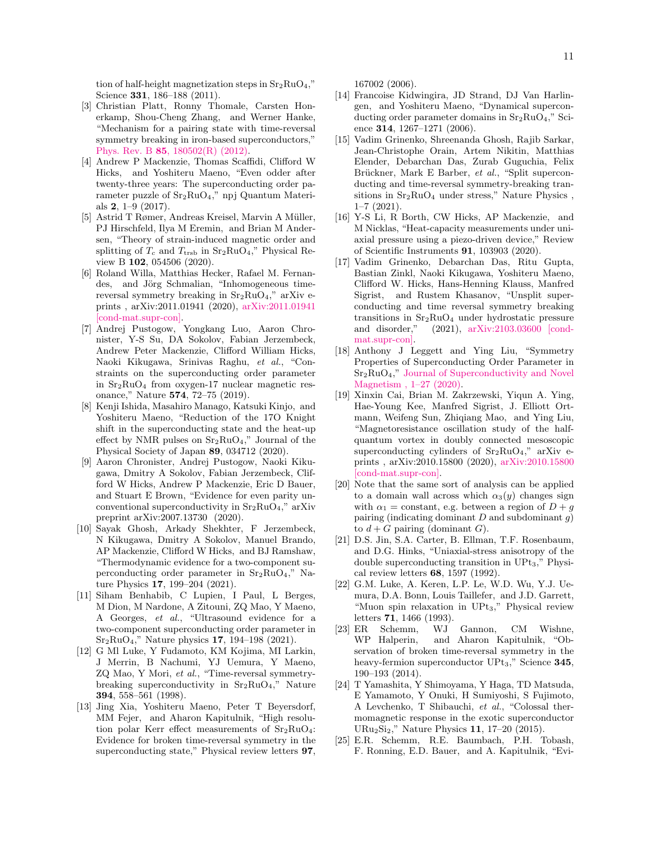tion of half-height magnetization steps in  $Sr<sub>2</sub>RuO<sub>4</sub>$ ," Science 331, 186–188 (2011).

- <span id="page-10-0"></span>[3] Christian Platt, Ronny Thomale, Carsten Honerkamp, Shou-Cheng Zhang, and Werner Hanke, "Mechanism for a pairing state with time-reversal symmetry breaking in iron-based superconductors," Phys. Rev. B 85[, 180502\(R\) \(2012\).](http://dx.doi.org/10.1103/PhysRevB.85.180502)
- <span id="page-10-1"></span>[4] Andrew P Mackenzie, Thomas Scaffidi, Clifford W Hicks, and Yoshiteru Maeno, "Even odder after twenty-three years: The superconducting order parameter puzzle of  $Sr_2RuO_4$ ," npj Quantum Materials  $2, 1-9$  (2017).
- <span id="page-10-2"></span>[5] Astrid T Rømer, Andreas Kreisel, Marvin A Müller, PJ Hirschfeld, Ilya M Eremin, and Brian M Andersen, "Theory of strain-induced magnetic order and splitting of  $T_c$  and  $T_{\text{trsb}}$  in  $\text{Sr}_2\text{RuO}_4$ ," Physical Review B 102, 054506 (2020).
- <span id="page-10-3"></span>[6] Roland Willa, Matthias Hecker, Rafael M. Fernandes, and Jörg Schmalian, "Inhomogeneous timereversal symmetry breaking in  $Sr<sub>2</sub>RuO<sub>4</sub>$ ," arXiv eprints , arXiv:2011.01941 (2020), [arXiv:2011.01941](http://arxiv.org/abs/2011.01941) [\[cond-mat.supr-con\].](http://arxiv.org/abs/2011.01941)
- <span id="page-10-4"></span>[7] Andrej Pustogow, Yongkang Luo, Aaron Chronister, Y-S Su, DA Sokolov, Fabian Jerzembeck, Andrew Peter Mackenzie, Clifford William Hicks, Naoki Kikugawa, Srinivas Raghu, et al., "Constraints on the superconducting order parameter in  $Sr<sub>2</sub>RuO<sub>4</sub>$  from oxygen-17 nuclear magnetic resonance," Nature 574, 72–75 (2019).
- [8] Kenji Ishida, Masahiro Manago, Katsuki Kinjo, and Yoshiteru Maeno, "Reduction of the 17O Knight shift in the superconducting state and the heat-up effect by NMR pulses on  $Sr_2RuO<sub>4</sub>$ ," Journal of the Physical Society of Japan 89, 034712 (2020).
- <span id="page-10-5"></span>[9] Aaron Chronister, Andrej Pustogow, Naoki Kikugawa, Dmitry A Sokolov, Fabian Jerzembeck, Clifford W Hicks, Andrew P Mackenzie, Eric D Bauer, and Stuart E Brown, "Evidence for even parity unconventional superconductivity in  $Sr_2RuO<sub>4</sub>$ ," arXiv preprint arXiv:2007.13730 (2020).
- <span id="page-10-6"></span>[10] Sayak Ghosh, Arkady Shekhter, F Jerzembeck, N Kikugawa, Dmitry A Sokolov, Manuel Brando, AP Mackenzie, Clifford W Hicks, and BJ Ramshaw, "Thermodynamic evidence for a two-component superconducting order parameter in  $Sr<sub>2</sub>RuO<sub>4</sub>$ ," Nature Physics 17, 199–204 (2021).
- <span id="page-10-7"></span>[11] Siham Benhabib, C Lupien, I Paul, L Berges, M Dion, M Nardone, A Zitouni, ZQ Mao, Y Maeno, A Georges, et al., "Ultrasound evidence for a two-component superconducting order parameter in Sr2RuO4," Nature physics 17, 194–198 (2021).
- <span id="page-10-8"></span>[12] G Ml Luke, Y Fudamoto, KM Kojima, MI Larkin, J Merrin, B Nachumi, YJ Uemura, Y Maeno, ZQ Mao, Y Mori, et al., "Time-reversal symmetrybreaking superconductivity in  $Sr_2RuO<sub>4</sub>$ ," Nature 394, 558–561 (1998).
- [13] Jing Xia, Yoshiteru Maeno, Peter T Beyersdorf, MM Fejer, and Aharon Kapitulnik, "High resolution polar Kerr effect measurements of Sr2RuO4: Evidence for broken time-reversal symmetry in the superconducting state," Physical review letters 97,

167002 (2006).

- <span id="page-10-9"></span>[14] Francoise Kidwingira, JD Strand, DJ Van Harlingen, and Yoshiteru Maeno, "Dynamical superconducting order parameter domains in  $Sr<sub>2</sub>RuO<sub>4</sub>$ ," Science 314, 1267-1271 (2006).
- <span id="page-10-10"></span>[15] Vadim Grinenko, Shreenanda Ghosh, Rajib Sarkar, Jean-Christophe Orain, Artem Nikitin, Matthias Elender, Debarchan Das, Zurab Guguchia, Felix Brückner, Mark E Barber, et al., "Split superconducting and time-reversal symmetry-breaking transitions in  $Sr_2RuO_4$  under stress," Nature Physics, 1–7 (2021).
- <span id="page-10-11"></span>[16] Y-S Li, R Borth, CW Hicks, AP Mackenzie, and M Nicklas, "Heat-capacity measurements under uniaxial pressure using a piezo-driven device," Review of Scientific Instruments 91, 103903 (2020).
- <span id="page-10-12"></span>[17] Vadim Grinenko, Debarchan Das, Ritu Gupta, Bastian Zinkl, Naoki Kikugawa, Yoshiteru Maeno, Clifford W. Hicks, Hans-Henning Klauss, Manfred Sigrist, and Rustem Khasanov, "Unsplit superconducting and time reversal symmetry breaking transitions in  $Sr_2RuO_4$  under hydrostatic pressure<br>and disorder," (2021),  $arXiv:2103.03600$  [cond(2021), [arXiv:2103.03600 \[cond](http://arxiv.org/abs/2103.03600)[mat.supr-con\].](http://arxiv.org/abs/2103.03600)
- <span id="page-10-13"></span>[18] Anthony J Leggett and Ying Liu, "Symmetry Properties of Superconducting Order Parameter in  $Sr<sub>2</sub>RuO<sub>4</sub>$ ," [Journal of Superconductivity and Novel](https://link.springer.com/article/10.1007/s10948-020-05717-6) [Magnetism , 1–27 \(2020\).](https://link.springer.com/article/10.1007/s10948-020-05717-6)
- <span id="page-10-14"></span>[19] Xinxin Cai, Brian M. Zakrzewski, Yiqun A. Ying, Hae-Young Kee, Manfred Sigrist, J. Elliott Ortmann, Weifeng Sun, Zhiqiang Mao, and Ying Liu, "Magnetoresistance oscillation study of the halfquantum vortex in doubly connected mesoscopic superconducting cylinders of  $Sr<sub>2</sub>RuO<sub>4</sub>$ ," arXiv eprints , arXiv:2010.15800 (2020), [arXiv:2010.15800](http://arxiv.org/abs/2010.15800) [\[cond-mat.supr-con\].](http://arxiv.org/abs/2010.15800)
- <span id="page-10-15"></span>[20] Note that the same sort of analysis can be applied to a domain wall across which  $\alpha_3(y)$  changes sign with  $\alpha_1$  = constant, e.g. between a region of  $D + g$ pairing (indicating dominant  $D$  and subdominant  $g$ ) to  $d + G$  pairing (dominant G).
- <span id="page-10-16"></span>[21] D.S. Jin, S.A. Carter, B. Ellman, T.F. Rosenbaum, and D.G. Hinks, "Uniaxial-stress anisotropy of the double superconducting transition in UPt3," Physical review letters 68, 1597 (1992).
- [22] G.M. Luke, A. Keren, L.P. Le, W.D. Wu, Y.J. Uemura, D.A. Bonn, Louis Taillefer, and J.D. Garrett, "Muon spin relaxation in UPt3," Physical review letters 71, 1466 (1993).
- <span id="page-10-17"></span>[23] ER Schemm, WJ Gannon, CM Wishne, WP Halperin, and Aharon Kapitulnik, "Observation of broken time-reversal symmetry in the heavy-fermion superconductor  $UPt_3$ ," Science 345, 190–193 (2014).
- <span id="page-10-18"></span>[24] T Yamashita, Y Shimoyama, Y Haga, TD Matsuda, E Yamamoto, Y Onuki, H Sumiyoshi, S Fujimoto, A Levchenko, T Shibauchi, et al., "Colossal thermomagnetic response in the exotic superconductor URu2Si2," Nature Physics 11, 17–20 (2015).
- <span id="page-10-19"></span>[25] E.R. Schemm, R.E. Baumbach, P.H. Tobash, F. Ronning, E.D. Bauer, and A. Kapitulnik, "Evi-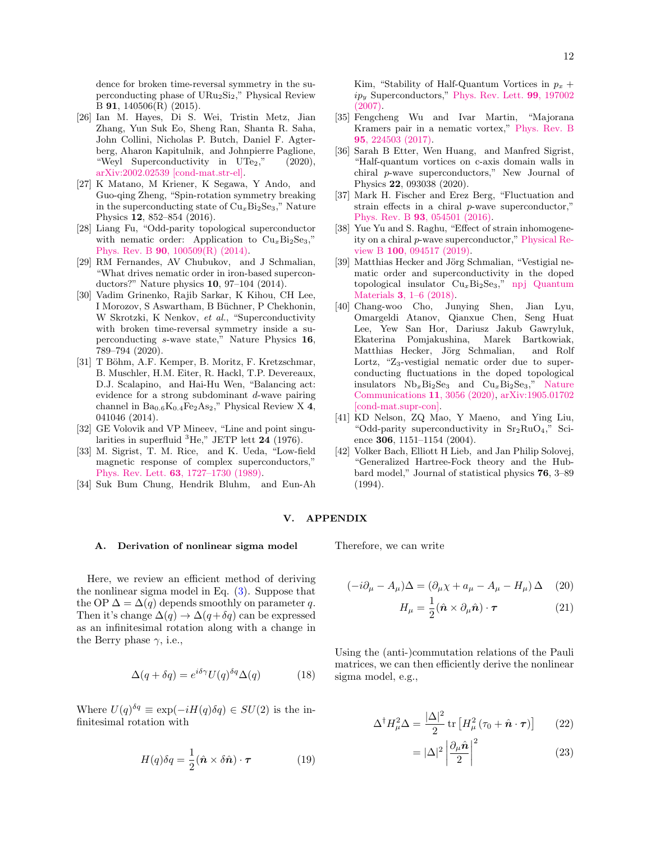dence for broken time-reversal symmetry in the superconducting phase of URu2Si2," Physical Review B 91, 140506(R) (2015).

- <span id="page-11-1"></span>[26] Ian M. Hayes, Di S. Wei, Tristin Metz, Jian Zhang, Yun Suk Eo, Sheng Ran, Shanta R. Saha, John Collini, Nicholas P. Butch, Daniel F. Agterberg, Aharon Kapitulnik, and Johnpierre Paglione, "Weyl Superconductivity in  $UTe_2$ ," (2020), [arXiv:2002.02539 \[cond-mat.str-el\].](http://arxiv.org/abs/2002.02539)
- <span id="page-11-2"></span>[27] K Matano, M Kriener, K Segawa, Y Ando, and Guo-qing Zheng, "Spin-rotation symmetry breaking in the superconducting state of  $Cu<sub>x</sub>Bi<sub>2</sub>Se<sub>3</sub>$ ," Nature Physics 12, 852–854 (2016).
- <span id="page-11-3"></span>[28] Liang Fu, "Odd-parity topological superconductor with nematic order: Application to  $Cu<sub>x</sub>Bi<sub>2</sub>Se<sub>3</sub>$ ," Phys. Rev. B 90[, 100509\(R\) \(2014\).](http://dx.doi.org/ 10.1103/PhysRevB.90.100509)
- <span id="page-11-4"></span>[29] RM Fernandes, AV Chubukov, and J Schmalian, "What drives nematic order in iron-based superconductors?" Nature physics 10, 97–104 (2014).
- [30] Vadim Grinenko, Rajib Sarkar, K Kihou, CH Lee, I Morozov, S Aswartham, B Büchner, P Chekhonin, W Skrotzki, K Nenkov, et al., "Superconductivity with broken time-reversal symmetry inside a superconducting s-wave state," Nature Physics 16, 789–794 (2020).
- <span id="page-11-5"></span>[31] T Böhm, A.F. Kemper, B. Moritz, F. Kretzschmar, B. Muschler, H.M. Eiter, R. Hackl, T.P. Devereaux, D.J. Scalapino, and Hai-Hu Wen, "Balancing act: evidence for a strong subdominant d-wave pairing channel in  $Ba_{0.6}K_{0.4}Fe<sub>2</sub>As<sub>2</sub>$ ," Physical Review X 4, 041046 (2014).
- <span id="page-11-6"></span>[32] GE Volovik and VP Mineev, "Line and point singularities in superfluid  ${}^{3}$ He," JETP lett 24 (1976).
- [33] M. Sigrist, T. M. Rice, and K. Ueda, "Low-field magnetic response of complex superconductors," Phys. Rev. Lett. 63[, 1727–1730 \(1989\).](http://dx.doi.org/10.1103/PhysRevLett.63.1727)
- [34] Suk Bum Chung, Hendrik Bluhm, and Eun-Ah

Kim, "Stability of Half-Quantum Vortices in  $p_x$  +  $ip_u$  Superconductors," [Phys. Rev. Lett.](http://dx.doi.org/ 10.1103/PhysRevLett.99.197002) **99**, 197002 [\(2007\).](http://dx.doi.org/ 10.1103/PhysRevLett.99.197002)

- [35] Fengcheng Wu and Ivar Martin, "Majorana Kramers pair in a nematic vortex," [Phys. Rev. B](http://dx.doi.org/ 10.1103/PhysRevB.95.224503) 95[, 224503 \(2017\).](http://dx.doi.org/ 10.1103/PhysRevB.95.224503)
- <span id="page-11-7"></span>[36] Sarah B Etter, Wen Huang, and Manfred Sigrist, "Half-quantum vortices on c-axis domain walls in chiral p-wave superconductors," New Journal of Physics 22, 093038 (2020).
- <span id="page-11-8"></span>[37] Mark H. Fischer and Erez Berg, "Fluctuation and strain effects in a chiral p-wave superconductor," Phys. Rev. B 93[, 054501 \(2016\).](http://dx.doi.org/ 10.1103/PhysRevB.93.054501)
- [38] Yue Yu and S. Raghu, "Effect of strain inhomogeneity on a chiral p-wave superconductor," [Physical Re](http://dx.doi.org/ 10.1103/physrevb.100.094517)view B 100[, 094517 \(2019\).](http://dx.doi.org/ 10.1103/physrevb.100.094517)
- [39] Matthias Hecker and Jörg Schmalian, "Vestigial nematic order and superconductivity in the doped topological insulator  $Cu<sub>x</sub>Bi<sub>2</sub>Se<sub>3</sub>$ ," [npj Quantum](https://www.nature.com/articles/s41535-018-0098-z) Materials 3[, 1–6 \(2018\).](https://www.nature.com/articles/s41535-018-0098-z)
- <span id="page-11-9"></span>[40] Chang-woo Cho, Junying Shen, Jian Lyu, Omargeldi Atanov, Qianxue Chen, Seng Huat Lee, Yew San Hor, Dariusz Jakub Gawryluk, Ekaterina Pomjakushina, Marek Bartkowiak, Matthias Hecker, Jörg Schmalian, and Rolf Lortz, " $Z_3$ -vestigial nematic order due to superconducting fluctuations in the doped topological insulators  $Nb_xBi_2Se_3$  and  $Cu_xBi_2Se_3$ ," [Nature](http://dx.doi.org/ 10.1038/s41467-020-16871-9) [Communications](http://dx.doi.org/ 10.1038/s41467-020-16871-9) 11, 3056 (2020), [arXiv:1905.01702](http://arxiv.org/abs/1905.01702) [\[cond-mat.supr-con\].](http://arxiv.org/abs/1905.01702)
- <span id="page-11-10"></span>[41] KD Nelson, ZQ Mao, Y Maeno, and Ying Liu, "Odd-parity superconductivity in  $Sr_2RuO<sub>4</sub>$ ," Science 306, 1151–1154 (2004).
- <span id="page-11-11"></span>[42] Volker Bach, Elliott H Lieb, and Jan Philip Solovej, "Generalized Hartree-Fock theory and the Hubbard model," Journal of statistical physics 76, 3–89 (1994).

# V. APPENDIX

Therefore, we can write

#### <span id="page-11-0"></span>A. Derivation of nonlinear sigma model

Here, we review an efficient method of deriving the nonlinear sigma model in Eq. [\(3\)](#page-2-0). Suppose that the OP  $\Delta = \Delta(q)$  depends smoothly on parameter q. Then it's change  $\Delta(q) \rightarrow \Delta(q + \delta q)$  can be expressed as an infinitesimal rotation along with a change in the Berry phase  $\gamma$ , i.e.,

$$
\Delta(q + \delta q) = e^{i\delta \gamma} U(q)^{\delta q} \Delta(q) \tag{18}
$$

Where  $U(q)^{\delta q} \equiv \exp(-iH(q)\delta q) \in SU(2)$  is the infinitesimal rotation with

$$
H(q)\delta q = \frac{1}{2}(\hat{\boldsymbol{n}} \times \delta \hat{\boldsymbol{n}}) \cdot \boldsymbol{\tau}
$$
 (19)

$$
(-i\partial_{\mu} - A_{\mu})\Delta = (\partial_{\mu}\chi + a_{\mu} - A_{\mu} - H_{\mu})\Delta \quad (20)
$$

$$
H_{\mu} = \frac{1}{2} (\hat{\boldsymbol{n}} \times \partial_{\mu} \hat{\boldsymbol{n}}) \cdot \boldsymbol{\tau}
$$
 (21)

Using the (anti-)commutation relations of the Pauli matrices, we can then efficiently derive the nonlinear sigma model, e.g.,

$$
\Delta^{\dagger} H_{\mu}^{2} \Delta = \frac{|\Delta|^{2}}{2} \operatorname{tr} \left[ H_{\mu}^{2} \left( \tau_{0} + \hat{\boldsymbol{n}} \cdot \boldsymbol{\tau} \right) \right]
$$
 (22)

$$
= |\Delta|^2 \left| \frac{\partial_\mu \hat{n}}{2} \right|^2 \tag{23}
$$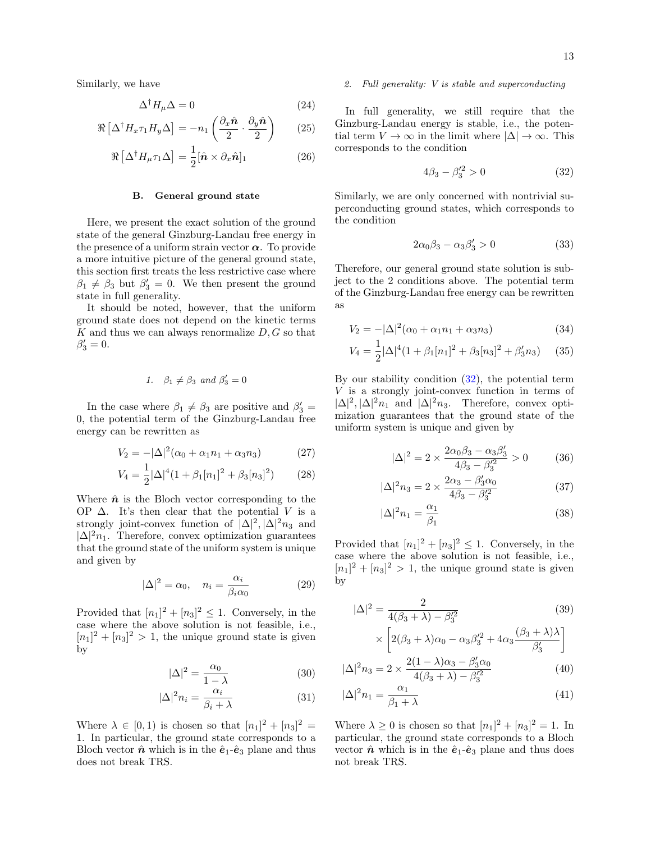Similarly, we have

$$
\Delta^{\dagger} H_{\mu} \Delta = 0 \tag{24}
$$

$$
\Re\left[\Delta^{\dagger}H_x\tau_1H_y\Delta\right] = -n_1\left(\frac{\partial_x\hat{\mathbf{n}}}{2}\cdot\frac{\partial_y\hat{\mathbf{n}}}{2}\right) \tag{25}
$$

$$
\Re\left[\Delta^{\dagger}H_{\mu}\tau_{1}\Delta\right] = \frac{1}{2}[\hat{\boldsymbol{n}}\times\partial_{x}\hat{\boldsymbol{n}}]_{1} \tag{26}
$$

### <span id="page-12-0"></span>B. General ground state

Here, we present the exact solution of the ground state of the general Ginzburg-Landau free energy in the presence of a uniform strain vector  $\alpha$ . To provide a more intuitive picture of the general ground state, this section first treats the less restrictive case where  $\beta_1 \neq \beta_3$  but  $\beta'_3 = 0$ . We then present the ground state in full generality.

It should be noted, however, that the uniform ground state does not depend on the kinetic terms  $K$  and thus we can always renormalize  $D, G$  so that  $\beta'_3=0.$ 

1. 
$$
\beta_1 \neq \beta_3
$$
 and  $\beta'_3 = 0$ 

In the case where  $\beta_1 \neq \beta_3$  are positive and  $\beta'_3$  = 0, the potential term of the Ginzburg-Landau free energy can be rewritten as

$$
V_2 = -|\Delta|^2 (\alpha_0 + \alpha_1 n_1 + \alpha_3 n_3)
$$
 (27)

$$
V_4 = \frac{1}{2} |\Delta|^4 (1 + \beta_1 [n_1]^2 + \beta_3 [n_3]^2)
$$
 (28)

Where  $\hat{\boldsymbol{n}}$  is the Bloch vector corresponding to the OP  $\Delta$ . It's then clear that the potential V is a strongly joint-convex function of  $|\Delta|^2$ ,  $|\Delta|^2 n_3$  and  $|\Delta|^2 n_1$ . Therefore, convex optimization guarantees that the ground state of the uniform system is unique and given by

$$
|\Delta|^2 = \alpha_0, \quad n_i = \frac{\alpha_i}{\beta_i \alpha_0} \tag{29}
$$

Provided that  $[n_1]^2 + [n_3]^2 \leq 1$ . Conversely, in the case where the above solution is not feasible, i.e.,  $[n_1]^2 + [n_3]^2 > 1$ , the unique ground state is given by

$$
|\Delta|^2 = \frac{\alpha_0}{1 - \lambda} \tag{30}
$$

$$
|\Delta|^2 n_i = \frac{\alpha_i}{\beta_i + \lambda} \tag{31}
$$

Where  $\lambda \in [0, 1)$  is chosen so that  $[n_1]^2 + [n_3]^2 =$ 1. In particular, the ground state corresponds to a Bloch vector  $\hat{\boldsymbol{n}}$  which is in the  $\hat{\boldsymbol{e}}_1$ - $\hat{\boldsymbol{e}}_3$  plane and thus does not break TRS.

## 2. Full generality: V is stable and superconducting

In full generality, we still require that the Ginzburg-Landau energy is stable, i.e., the potential term  $V \to \infty$  in the limit where  $|\Delta| \to \infty$ . This corresponds to the condition

<span id="page-12-1"></span>
$$
4\beta_3 - \beta_3'^2 > 0 \tag{32}
$$

Similarly, we are only concerned with nontrivial superconducting ground states, which corresponds to the condition

$$
2\alpha_0\beta_3 - \alpha_3\beta'_3 > 0\tag{33}
$$

Therefore, our general ground state solution is subject to the 2 conditions above. The potential term of the Ginzburg-Landau free energy can be rewritten as

$$
V_2 = -|\Delta|^2 (\alpha_0 + \alpha_1 n_1 + \alpha_3 n_3)
$$
 (34)

$$
V_4 = \frac{1}{2} |\Delta|^4 (1 + \beta_1 [n_1]^2 + \beta_3 [n_3]^2 + \beta_3' n_3)
$$
 (35)

By our stability condition  $(32)$ , the potential term V is a strongly joint-convex function in terms of  $|\Delta|^2$ ,  $|\Delta|^2 n_1$  and  $|\Delta|^2 n_3$ . Therefore, convex optimization guarantees that the ground state of the uniform system is unique and given by

$$
|\Delta|^2 = 2 \times \frac{2\alpha_0 \beta_3 - \alpha_3 \beta_3'}{4\beta_3 - \beta_3'^2} > 0 \tag{36}
$$

$$
|\Delta|^2 n_3 = 2 \times \frac{2\alpha_3 - \beta_3' \alpha_0}{4\beta_3 - \beta_3'^2}
$$
 (37)

$$
|\Delta|^2 n_1 = \frac{\alpha_1}{\beta_1} \tag{38}
$$

Provided that  $[n_1]^2 + [n_3]^2 \leq 1$ . Conversely, in the case where the above solution is not feasible, i.e.,  $[n_1]^2 + [n_3]^2 > 1$ , the unique ground state is given by

$$
|\Delta|^2 = \frac{2}{4(\beta_3 + \lambda) - \beta_3'^2}
$$
(39)  

$$
\times \left[2(\beta_3 + \lambda)\alpha_0 - \alpha_3\beta_3'^2 + 4\alpha_3\frac{(\beta_3 + \lambda)\lambda}{\beta_3'}\right]
$$
  

$$
\Delta^2 n_3 = 2 \times \frac{2(1 - \lambda)\alpha_3 - \beta_3'\alpha_0}{\beta_3'} \tag{40}
$$

$$
|\Delta|^2 n_3 = 2 \times \frac{2(1 - \lambda)\alpha_3 - \beta_3 \alpha_0}{4(\beta_3 + \lambda) - \beta_3'^2}
$$
(40)

$$
|\Delta|^2 n_1 = \frac{\alpha_1}{\beta_1 + \lambda} \tag{41}
$$

Where  $\lambda \geq 0$  is chosen so that  $[n_1]^2 + [n_3]^2 = 1$ . In particular, the ground state corresponds to a Bloch vector  $\hat{\boldsymbol{n}}$  which is in the  $\hat{\boldsymbol{e}}_1$ - $\hat{\boldsymbol{e}}_3$  plane and thus does not break TRS.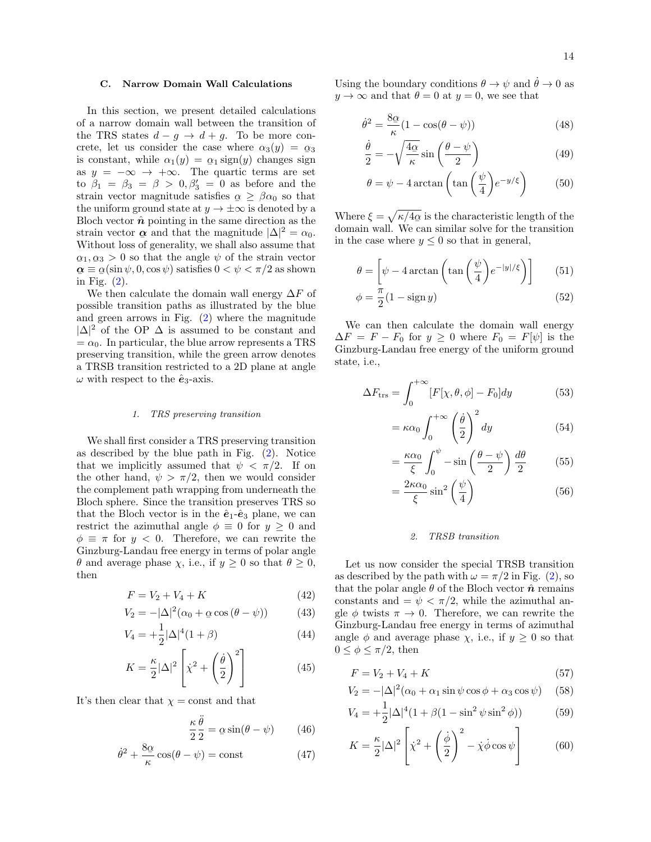## <span id="page-13-0"></span>C. Narrow Domain Wall Calculations

In this section, we present detailed calculations of a narrow domain wall between the transition of the TRS states  $d - g \rightarrow d + g$ . To be more concrete, let us consider the case where  $\alpha_3(y) = \alpha_3$ is constant, while  $\alpha_1(y) = \alpha_1 \text{ sign}(y)$  changes sign as  $y = -\infty \to +\infty$ . The quartic terms are set to  $\beta_1 = \beta_3 = \beta > 0, \beta'_3 = 0$  as before and the strain vector magnitude satisfies  $\alpha \geq \beta \alpha_0$  so that the uniform ground state at  $y \to \pm \infty$  is denoted by a Bloch vector  $\hat{\boldsymbol{n}}$  pointing in the same direction as the strain vector  $\alpha$  and that the magnitude  $|\Delta|^2 = \alpha_0$ . Without loss of generality, we shall also assume that  $\alpha \equiv \alpha(\sin \psi, 0, \cos \psi)$  satisfies  $0 < \psi < \pi/2$  as shown  $\alpha_1, \alpha_3 > 0$  so that the angle  $\psi$  of the strain vector  $\frac{6}{\pi} - \frac{6}{\pi}$ (2).

We then calculate the domain wall energy  $\Delta F$  of possible transition paths as illustrated by the blue and green arrows in Fig. [\(2\)](#page-3-0) where the magnitude  $|\Delta|^2$  of the OP  $\Delta$  is assumed to be constant and  $= \alpha_0$ . In particular, the blue arrow represents a TRS preserving transition, while the green arrow denotes a TRSB transition restricted to a 2D plane at angle  $\omega$  with respect to the  $\hat{\mathbf{e}}_3$ -axis.

#### 1. TRS preserving transition

We shall first consider a TRS preserving transition as described by the blue path in Fig. [\(2\)](#page-3-0). Notice that we implicitly assumed that  $\psi < \pi/2$ . If on the other hand,  $\psi > \pi/2$ , then we would consider the complement path wrapping from underneath the Bloch sphere. Since the transition preserves TRS so that the Bloch vector is in the  $\hat{e}_1$ - $\hat{e}_3$  plane, we can restrict the azimuthal angle  $\phi \equiv 0$  for  $y \geq 0$  and  $\phi \equiv \pi$  for  $y < 0$ . Therefore, we can rewrite the Ginzburg-Landau free energy in terms of polar angle θ and average phase χ, i.e., if  $y ≥ 0$  so that  $θ ≥ 0$ , then

$$
F = V_2 + V_4 + K \t\t(42)
$$

$$
V_2 = -|\Delta|^2 (\alpha_0 + \alpha \cos(\theta - \psi)) \tag{43}
$$

$$
V_4 = +\frac{1}{2}|\Delta|^4(1+\beta)
$$
 (44)

$$
K = \frac{\kappa}{2} |\Delta|^2 \left[ \dot{\chi}^2 + \left( \frac{\dot{\theta}}{2} \right)^2 \right]
$$
 (45)

It's then clear that  $\chi = \text{const}$  and that

$$
\frac{\kappa}{2}\frac{\ddot{\theta}}{2} = \alpha \sin(\theta - \psi) \qquad (46)
$$

$$
\dot{\theta}^2 + \frac{8\alpha}{\kappa}\cos(\theta - \psi) = \text{const}
$$
 (47)

Using the boundary conditions  $\theta \to \psi$  and  $\dot{\theta} \to 0$  as  $y \to \infty$  and that  $\theta = 0$  at  $y = 0$ , we see that

$$
\dot{\theta}^2 = \frac{8\alpha}{\kappa} (1 - \cos(\theta - \psi))
$$
\n(48)

$$
\frac{\dot{\theta}}{2} = -\sqrt{\frac{4\alpha}{\kappa}}\sin\left(\frac{\theta - \psi}{2}\right) \tag{49}
$$

$$
\theta = \psi - 4 \arctan\left(\tan\left(\frac{\psi}{4}\right) e^{-y/\xi}\right) \tag{50}
$$

Where  $\xi = \sqrt{\kappa/4\alpha}$  is the characteristic length of the  $\frac{1}{2}$  and the transition domain wall. We can similar solve for the transition in the case where  $y \leq 0$  so that in general,

$$
\theta = \left[ \psi - 4 \arctan\left( \tan\left( \frac{\psi}{4} \right) e^{-|y|/\xi} \right) \right] \tag{51}
$$

$$
\phi = \frac{\pi}{2}(1 - \operatorname{sign} y) \tag{52}
$$

We can then calculate the domain wall energy  $\Delta F = F - F_0$  for  $y \ge 0$  where  $F_0 = F[\psi]$  is the Ginzburg-Landau free energy of the uniform ground state, i.e.,

$$
\Delta F_{\rm trs} = \int_0^{+\infty} [F[\chi, \theta, \phi] - F_0] dy \tag{53}
$$

$$
= \kappa \alpha_0 \int_0^{+\infty} \left(\frac{\dot{\theta}}{2}\right)^2 dy \tag{54}
$$

$$
= \frac{\kappa \alpha_0}{\xi} \int_0^{\psi} -\sin\left(\frac{\theta - \psi}{2}\right) \frac{d\theta}{2} \tag{55}
$$

$$
=\frac{2\kappa\alpha_0}{\xi}\sin^2\left(\frac{\psi}{4}\right) \tag{56}
$$

# 2. TRSB transition

Let us now consider the special TRSB transition as described by the path with  $\omega = \pi/2$  in Fig. [\(2\)](#page-3-0), so that the polar angle  $\theta$  of the Bloch vector  $\hat{\boldsymbol{n}}$  remains constants and  $=\psi < \pi/2$ , while the azimuthal angle  $\phi$  twists  $\pi \to 0$ . Therefore, we can rewrite the Ginzburg-Landau free energy in terms of azimuthal angle  $\phi$  and average phase  $\chi$ , i.e., if  $y \geq 0$  so that  $0 \leq \phi \leq \pi/2$ , then

$$
F = V_2 + V_4 + K \t\t(57)
$$

$$
V_2 = -|\Delta|^2 (\alpha_0 + \alpha_1 \sin \psi \cos \phi + \alpha_3 \cos \psi) \quad (58)
$$

$$
V_4 = +\frac{1}{2}|\Delta|^4 (1 + \beta(1 - \sin^2 \psi \sin^2 \phi))
$$
 (59)

$$
K = \frac{\kappa}{2} |\Delta|^2 \left[ \dot{\chi}^2 + \left( \frac{\dot{\phi}}{2} \right)^2 - \dot{\chi} \dot{\phi} \cos \psi \right]
$$
 (60)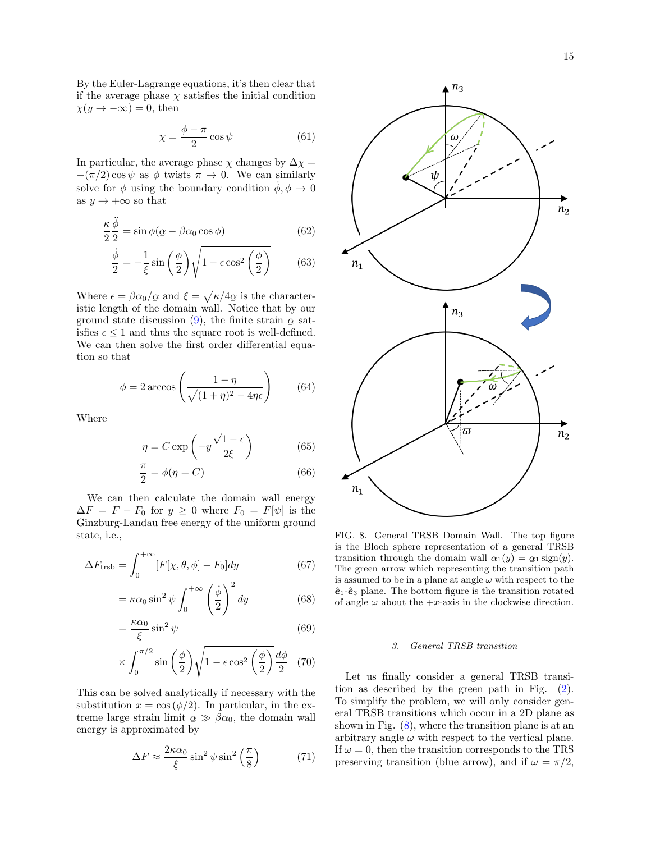By the Euler-Lagrange equations, it's then clear that if the average phase  $\chi$  satisfies the initial condition  $\chi(y \to -\infty) = 0$ , then

$$
\chi = \frac{\phi - \pi}{2} \cos \psi \tag{61}
$$

In particular, the average phase  $\chi$  changes by  $\Delta \chi =$  $-(\pi/2)\cos\psi$  as  $\phi$  twists  $\pi \to 0$ . We can similarly solve for  $\phi$  using the boundary condition  $\dot{\phi}, \phi \rightarrow 0$ as  $y \to +\infty$  so that

$$
\frac{\kappa}{2} \frac{\ddot{\phi}}{2} = \sin \phi (\alpha - \beta \alpha_0 \cos \phi)
$$
 (62)

$$
\frac{\dot{\phi}}{2} = -\frac{1}{\xi}\sin\left(\frac{\phi}{2}\right)\sqrt{1 - \epsilon\cos^2\left(\frac{\phi}{2}\right)}\tag{63}
$$

Where  $\epsilon = \beta \alpha_0 / \alpha$  and  $\xi = \sqrt{\kappa / 4 \alpha}$  is the characterwhere  $\epsilon$   $\beta$  and  $\zeta$   $\gamma$   $\gamma$   $\eta$  as a set of the domain wall. Notice that by our ground state discussion [\(9\)](#page-3-1), the finite strain  $\alpha$  sat- $\epsilon \leq 1$  and thus the square root is well-defined. We can then solve the first order differential equation so that

$$
\phi = 2 \arccos\left(\frac{1 - \eta}{\sqrt{(1 + \eta)^2 - 4\eta\epsilon}}\right) \tag{64}
$$

Where

$$
\eta = C \exp\left(-y \frac{\sqrt{1 - \epsilon}}{2\xi}\right) \tag{65}
$$

$$
\frac{\pi}{2} = \phi(\eta = C) \tag{66}
$$

We can then calculate the domain wall energy  $\Delta F = F - F_0$  for  $y \ge 0$  where  $F_0 = F[\psi]$  is the Ginzburg-Landau free energy of the uniform ground state, i.e.,

$$
\Delta F_{\text{trsb}} = \int_0^{+\infty} [F[\chi, \theta, \phi] - F_0] dy \tag{67}
$$

$$
= \kappa \alpha_0 \sin^2 \psi \int_0^{+\infty} \left(\frac{\dot{\phi}}{2}\right)^2 dy \tag{68}
$$

$$
= \frac{\kappa \alpha_0}{\xi} \sin^2 \psi \tag{69}
$$

$$
\times \int_0^{\pi/2} \sin\left(\frac{\phi}{2}\right) \sqrt{1 - \epsilon \cos^2\left(\frac{\phi}{2}\right)} \frac{d\phi}{2} \quad (70)
$$

This can be solved analytically if necessary with the substitution  $x = \cos(\phi/2)$ . In particular, in the extreme large strain limit  $\alpha \gg \beta \alpha_0$ , the domain wall energy is approximated by

$$
\Delta F \approx \frac{2\kappa\alpha_0}{\xi} \sin^2 \psi \sin^2 \left(\frac{\pi}{8}\right) \tag{71}
$$



<span id="page-14-0"></span>FIG. 8. General TRSB Domain Wall. The top figure is the Bloch sphere representation of a general TRSB transition through the domain wall  $\alpha_1(y) = \alpha_1 \text{sign}(y)$ . The green arrow which representing the transition path  $\alpha_1(y)$ . is assumed to be in a plane at angle  $\omega$  with respect to the  $\hat{\mathbf{e}}_1$ - $\hat{\mathbf{e}}_3$  plane. The bottom figure is the transition rotated of angle  $\omega$  about the  $+x$ -axis in the clockwise direction.

# 3. General TRSB transition

Let us finally consider a general TRSB transition as described by the green path in Fig. [\(2\)](#page-3-0). To simplify the problem, we will only consider general TRSB transitions which occur in a 2D plane as shown in Fig. [\(8\)](#page-14-0), where the transition plane is at an arbitrary angle  $\omega$  with respect to the vertical plane. If  $\omega = 0$ , then the transition corresponds to the TRS preserving transition (blue arrow), and if  $\omega = \pi/2$ ,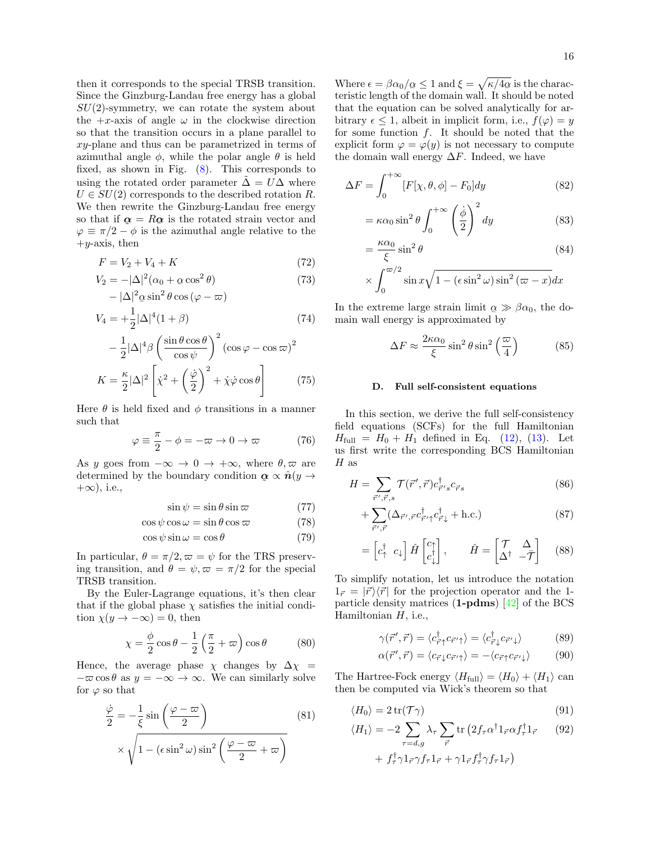then it corresponds to the special TRSB transition. Since the Ginzburg-Landau free energy has a global  $SU(2)$ -symmetry, we can rotate the system about the  $+x$ -axis of angle  $\omega$  in the clockwise direction so that the transition occurs in a plane parallel to xy-plane and thus can be parametrized in terms of azimuthal angle  $\phi$ , while the polar angle  $\theta$  is held fixed, as shown in Fig. [\(8\)](#page-14-0). This corresponds to using the rotated order parameter  $\Delta = U \Delta$  where  $U \in SU(2)$  corresponds to the described rotation R. We then rewrite the Ginzburg-Landau free energy so that if  $\alpha = R\alpha$  is the rotated strain vector and  $\varphi \equiv \pi/2 - \phi$  is the azimuthal angle relative to the  $+y$ -axis, then

$$
F = V_2 + V_4 + K \t\t(72)
$$

$$
V_2 = -|\Delta|^2 (\alpha_0 + \alpha \cos^2 \theta)
$$
  
 
$$
- |\Delta|^2 \alpha \sin^2 \theta \cos (\varphi - \varpi)
$$
 (73)

$$
V_4 = +\frac{1}{2}|\Delta|^4(1+\beta)
$$
\n(74)

$$
-\frac{1}{2}|\Delta|^4 \beta \left(\frac{\sin\theta\cos\theta}{\cos\psi}\right)^2 (\cos\varphi - \cos\varpi)^2
$$

$$
K = \frac{\kappa}{2}|\Delta|^2 \left[\dot{\chi}^2 + \left(\frac{\dot{\varphi}}{2}\right)^2 + \dot{\chi}\dot{\varphi}\cos\theta\right]
$$
(75)

Here  $\theta$  is held fixed and  $\phi$  transitions in a manner such that

$$
\varphi \equiv \frac{\pi}{2} - \phi = -\varpi \to 0 \to \varpi \tag{76}
$$

As y goes from  $-\infty \to 0 \to +\infty$ , where  $\theta, \varpi$  are determined by the boundary condition  $\alpha \propto \hat{n}(y \to$  $\tilde{a}$  $+\infty$ ), i.e.,

$$
\sin \psi = \sin \theta \sin \varpi \tag{77}
$$

$$
\cos\psi\cos\omega = \sin\theta\cos\varpi\tag{78}
$$

$$
\cos\psi\sin\omega = \cos\theta\tag{79}
$$

In particular,  $\theta = \pi/2, \omega = \psi$  for the TRS preserving transition, and  $\theta = \psi, \varpi = \pi/2$  for the special TRSB transition.

By the Euler-Lagrange equations, it's then clear that if the global phase  $\chi$  satisfies the initial condition  $\chi(y \to -\infty) = 0$ , then

$$
\chi = \frac{\phi}{2}\cos\theta - \frac{1}{2}\left(\frac{\pi}{2} + \varpi\right)\cos\theta\tag{80}
$$

Hence, the average phase  $\chi$  changes by  $\Delta \chi$  =  $-\varpi \cos \theta$  as  $y = -\infty \rightarrow \infty$ . We can similarly solve for  $\varphi$  so that

$$
\frac{\dot{\varphi}}{2} = -\frac{1}{\xi} \sin\left(\frac{\varphi - \varpi}{2}\right) \qquad (81)
$$

$$
\times \sqrt{1 - (\epsilon \sin^2 \omega) \sin^2\left(\frac{\varphi - \varpi}{2} + \varpi\right)}
$$

Where  $\epsilon = \beta \alpha_0 / \alpha \leq 1$  and  $\xi = \sqrt{\kappa / 4 \alpha}$  is the characteristic length of the domain wall. It should be noted that the equation can be solved analytically for arbitrary  $\epsilon \leq 1$ , albeit in implicit form, i.e.,  $f(\varphi) = y$ for some function  $f$ . It should be noted that the explicit form  $\varphi = \varphi(y)$  is not necessary to compute the domain wall energy  $\Delta F$ . Indeed, we have

$$
\Delta F = \int_0^{+\infty} [F[\chi, \theta, \phi] - F_0] dy
$$
\n(82)

$$
= \kappa \alpha_0 \sin^2 \theta \int_0^{+\infty} \left(\frac{\dot{\phi}}{2}\right)^2 dy
$$
 (83)

$$
= \frac{\kappa \alpha_0}{\xi} \sin^2 \theta
$$
 (84)

$$
\times \int_0^{\infty/2} \sin x \sqrt{1 - (\epsilon \sin^2 \omega) \sin^2 (\omega - x)} dx
$$

In the extreme large strain limit  $\alpha \gg \beta \alpha_0$ , the domain wall energy is approximated by

$$
\Delta F \approx \frac{2\kappa\alpha_0}{\xi} \sin^2 \theta \sin^2 \left(\frac{\varpi}{4}\right) \tag{85}
$$

## <span id="page-15-0"></span>D. Full self-consistent equations

In this section, we derive the full self-consistency field equations (SCFs) for the full Hamiltonian  $H_{\text{full}} = H_0 + H_1$  defined in Eq. [\(12\)](#page-6-0), [\(13\)](#page-6-1). Let us first write the corresponding BCS Hamiltonian  $H$  as

$$
H = \sum_{\vec{r}', \vec{r}, s} \mathcal{T}(\vec{r}', \vec{r}) c^{\dagger}_{\vec{r}' s} c_{\vec{r}' s} \tag{86}
$$

$$
+\sum_{\vec{r}',\vec{r}} (\Delta_{\vec{r}',\vec{r}} c^{\dagger}_{\vec{r}'+} c^{\dagger}_{\vec{r}\downarrow} + \text{h.c.})
$$
\n(87)

$$
= \begin{bmatrix} c_{\uparrow}^{\dagger} & c_{\downarrow} \end{bmatrix} \hat{H} \begin{bmatrix} c_{\uparrow}^{\dagger} \\ c_{\downarrow}^{\dagger} \end{bmatrix}, \qquad \hat{H} = \begin{bmatrix} \mathcal{T} & \Delta \\ \Delta^{\dagger} & -\bar{\mathcal{T}} \end{bmatrix} \tag{88}
$$

To simplify notation, let us introduce the notation  $1_{\vec{r}} = |\vec{r}\rangle\langle\vec{r}|$  for the projection operator and the 1particle density matrices  $(1-\text{pdms})$  [\[42\]](#page-11-11) of the BCS Hamiltonian  $H$ , i.e.,

<span id="page-15-1"></span>
$$
\gamma(\vec{r}', \vec{r}) = \langle c_{\vec{r}\uparrow}^{\dagger} c_{\vec{r}'\uparrow} \rangle = \langle c_{\vec{r}\downarrow}^{\dagger} c_{\vec{r}'\downarrow} \rangle \tag{89}
$$

$$
\alpha(\vec{r}', \vec{r}) = \langle c_{\vec{r}\downarrow} c_{\vec{r}'\uparrow} \rangle = - \langle c_{\vec{r}\uparrow} c_{\vec{r}'\downarrow} \rangle \tag{90}
$$

The Hartree-Fock energy  $\langle H_{\text{full}} \rangle = \langle H_0 \rangle + \langle H_1 \rangle$  can then be computed via Wick's theorem so that

$$
\langle H_0 \rangle = 2 \operatorname{tr}(\mathcal{T}\gamma) \tag{91}
$$

$$
\langle H_1 \rangle = -2 \sum_{\tau = d,g} \lambda_{\tau} \sum_{\vec{r}} \text{tr} \left( 2 f_{\tau} \alpha^{\dagger} 1_{\vec{r}} \alpha f_{\tau}^{\dagger} 1_{\vec{r}} \right) \tag{92}
$$

$$
+ f_{\tau}^{\dagger} \gamma 1_{\vec{r}} \gamma f_{\tau} 1_{\vec{r}} + \gamma 1_{\vec{r}} f_{\tau}^{\dagger} \gamma f_{\tau} 1_{\vec{r}})
$$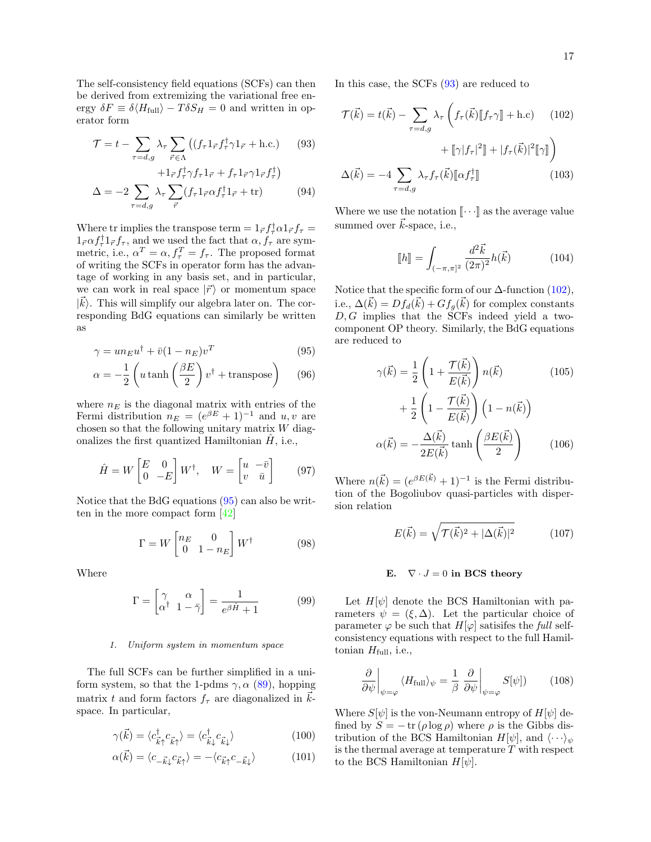The self-consistency field equations (SCFs) can then be derived from extremizing the variational free energy  $\delta F \equiv \delta \langle H_{\text{full}} \rangle - T \delta S_H = 0$  and written in operator form

$$
\mathcal{T} = t - \sum_{\tau = d, g} \lambda_{\tau} \sum_{\vec{r} \in \Lambda} \left( (f_{\tau} 1_{\vec{r}} f_{\tau}^{\dagger} \gamma 1_{\vec{r}} + \text{h.c.}) \right) \tag{93}
$$

$$
+1_{\vec{r}}f^{\dagger}_{\tau}\gamma f_{\tau}1_{\vec{r}}+f_{\tau}1_{\vec{r}}\gamma 1_{\vec{r}}f^{\dagger}_{\tau}\big)
$$

$$
\Delta = -2 \sum_{\tau=d,g} \lambda_{\tau} \sum_{\vec{r}} (f_{\tau} 1_{\vec{r}} \alpha f_{\tau}^{\dagger} 1_{\vec{r}} + \text{tr}) \tag{94}
$$

Where tr implies the transpose term  $= 1_{\vec{r}} f_{\tau}^{\dagger} \alpha 1_{\vec{r}} f_{\tau} =$  $1_{\vec{r}} \alpha f_{\tau}^{\dagger} 1_{\vec{r}} f_{\tau}$ , and we used the fact that  $\alpha, f_{\tau}$  are symmetric, i.e.,  $\alpha^T = \alpha$ ,  $f_{\tau}^T = f_{\tau}$ . The proposed format of writing the SCFs in operator form has the advantage of working in any basis set, and in particular, we can work in real space  $|\vec{r}\rangle$  or momentum space  $|\vec{k}\rangle$ . This will simplify our algebra later on. The corresponding BdG equations can similarly be written as

$$
\gamma = u n_E u^{\dagger} + \bar{v} (1 - n_E) v^T \tag{95}
$$

$$
\alpha = -\frac{1}{2} \left( u \tanh\left(\frac{\beta E}{2}\right) v^{\dagger} + \text{transpose} \right) \tag{96}
$$

where  $n_E$  is the diagonal matrix with entries of the Fermi distribution  $n_E = (e^{\beta E} + 1)^{-1}$  and  $u, v$  are chosen so that the following unitary matrix  $W$  diagonalizes the first quantized Hamiltonian  $\hat{H}$ , i.e.,

$$
\hat{H} = W \begin{bmatrix} E & 0 \\ 0 & -E \end{bmatrix} W^{\dagger}, \quad W = \begin{bmatrix} u & -\bar{v} \\ v & \bar{u} \end{bmatrix} \tag{97}
$$

Notice that the BdG equations [\(95\)](#page-16-1) can also be written in the more compact form [\[42\]](#page-11-11)

$$
\Gamma = W \begin{bmatrix} n_E & 0\\ 0 & 1 - n_E \end{bmatrix} W^{\dagger} \tag{98}
$$

Where

$$
\Gamma = \begin{bmatrix} \gamma & \alpha \\ \alpha^{\dagger} & 1 - \bar{\gamma} \end{bmatrix} = \frac{1}{e^{\beta \hat{H}} + 1} \tag{99}
$$

# 1. Uniform system in momentum space

The full SCFs can be further simplified in a uniform system, so that the 1-pdms  $\gamma$ ,  $\alpha$  [\(89\)](#page-15-1), hopping matrix t and form factors  $f_{\tau}$  are diagonalized in  $\vec{k}$ space. In particular,

$$
\gamma(\vec{k}) = \langle c_{\vec{k}\uparrow}^{\dagger} c_{\vec{k}\uparrow} \rangle = \langle c_{\vec{k}\downarrow}^{\dagger} c_{\vec{k}\downarrow} \rangle \tag{100}
$$

$$
\alpha(\vec{k}) = \langle c_{-\vec{k}\downarrow} c_{\vec{k}\uparrow} \rangle = -\langle c_{\vec{k}\uparrow} c_{-\vec{k}\downarrow} \rangle \tag{101}
$$

In this case, the SCFs [\(93\)](#page-16-2) are reduced to

<span id="page-16-2"></span>
$$
\mathcal{T}(\vec{k}) = t(\vec{k}) - \sum_{\tau=d,g} \lambda_{\tau} \left( f_{\tau}(\vec{k}) [\![f_{\tau}\gamma]\!] + \text{h.c} \right) \quad (102)
$$

$$
+ [\![\gamma|f_{\tau}|^2]\!] + |f_{\tau}(\vec{k})|^2 [\![\gamma]\!] \right)
$$

$$
\Delta(\vec{k}) = -4 \sum_{\tau=d,g} \lambda_{\tau} f_{\tau}(\vec{k}) [\![\alpha f_{\tau}^{\dagger}]\!] \quad (103)
$$

Where we use the notation  $\llbracket \cdots \rrbracket$  as the average value summed over  $\vec{k}$ -space, i.e.,

<span id="page-16-3"></span>
$$
\llbracket h \rrbracket = \int_{(-\pi,\pi)^2} \frac{d^2 \vec{k}}{(2\pi)^2} h(\vec{k}) \tag{104}
$$

<span id="page-16-1"></span>Notice that the specific form of our  $\Delta$ -function [\(102\)](#page-16-3), i.e.,  $\Delta(\vec{k}) = Df_d(\vec{k}) + Gf_g(\vec{k})$  for complex constants  $D, G$  implies that the SCFs indeed yield a twocomponent OP theory. Similarly, the BdG equations are reduced to

$$
\gamma(\vec{k}) = \frac{1}{2} \left( 1 + \frac{\mathcal{T}(\vec{k})}{E(\vec{k})} \right) n(\vec{k}) \qquad (105)
$$

$$
+ \frac{1}{2} \left( 1 - \frac{\mathcal{T}(\vec{k})}{E(\vec{k})} \right) \left( 1 - n(\vec{k}) \right)
$$

$$
\alpha(\vec{k}) = -\frac{\Delta(\vec{k})}{2E(\vec{k})} \tanh\left(\frac{\beta E(\vec{k})}{2}\right) \qquad (106)
$$

Where  $n(\vec{k}) = (e^{\beta E(\vec{k})} + 1)^{-1}$  is the Fermi distribution of the Bogoliubov quasi-particles with dispersion relation

$$
E(\vec{k}) = \sqrt{\mathcal{T}(\vec{k})^2 + |\Delta(\vec{k})|^2} \tag{107}
$$

# <span id="page-16-0"></span>E.  $\nabla \cdot J = 0$  in BCS theory

Let  $H[\psi]$  denote the BCS Hamiltonian with parameters  $\psi = (\xi, \Delta)$ . Let the particular choice of parameter  $\varphi$  be such that  $H[\varphi]$  satisifes the full selfconsistency equations with respect to the full Hamiltonian  $H_{\text{full}}$ , i.e.,

$$
\frac{\partial}{\partial \psi}\Big|_{\psi=\varphi} \langle H_{\text{full}} \rangle_{\psi} = \frac{1}{\beta} \left. \frac{\partial}{\partial \psi}\right|_{\psi=\varphi} S[\psi]) \tag{108}
$$

Where  $S[\psi]$  is the von-Neumann entropy of  $H[\psi]$  defined by  $S = -\operatorname{tr}(\rho \log \rho)$  where  $\rho$  is the Gibbs distribution of the BCS Hamiltonian  $H[\psi]$ , and  $\langle \cdot \cdot \cdot \rangle_{\psi}$ is the thermal average at temperature  $T$  with respect to the BCS Hamiltonian  $H[\psi]$ .